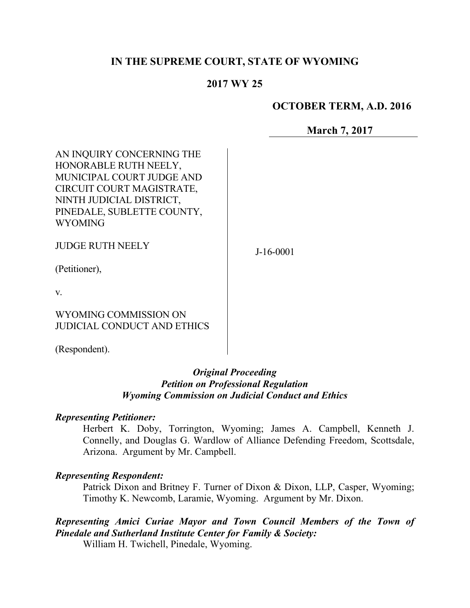## **IN THE SUPREME COURT, STATE OF WYOMING**

## **2017 WY 25**

### **OCTOBER TERM, A.D. 2016**

**March 7, 2017**

AN INQUIRY CONCERNING THE HONORABLE RUTH NEELY, MUNICIPAL COURT JUDGE AND CIRCUIT COURT MAGISTRATE, NINTH JUDICIAL DISTRICT, PINEDALE, SUBLETTE COUNTY, WYOMING

JUDGE RUTH NEELY

J-16-0001

(Petitioner),

v.

WYOMING COMMISSION ON JUDICIAL CONDUCT AND ETHICS

(Respondent).

### *Original Proceeding Petition on Professional Regulation Wyoming Commission on Judicial Conduct and Ethics*

#### *Representing Petitioner:*

Herbert K. Doby, Torrington, Wyoming; James A. Campbell, Kenneth J. Connelly, and Douglas G. Wardlow of Alliance Defending Freedom, Scottsdale, Arizona. Argument by Mr. Campbell.

#### *Representing Respondent:*

Patrick Dixon and Britney F. Turner of Dixon & Dixon, LLP, Casper, Wyoming; Timothy K. Newcomb, Laramie, Wyoming. Argument by Mr. Dixon.

*Representing Amici Curiae Mayor and Town Council Members of the Town of Pinedale and Sutherland Institute Center for Family & Society:*

William H. Twichell, Pinedale, Wyoming.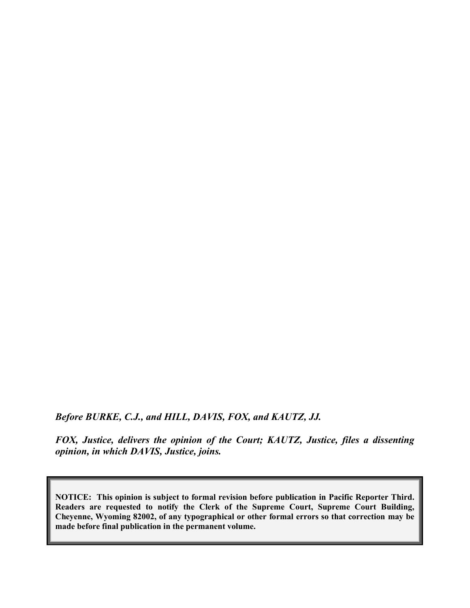*Before BURKE, C.J., and HILL, DAVIS, FOX, and KAUTZ, JJ.*

*FOX, Justice, delivers the opinion of the Court; KAUTZ, Justice, files a dissenting opinion, in which DAVIS, Justice, joins.* 

**NOTICE: This opinion is subject to formal revision before publication in Pacific Reporter Third. Readers are requested to notify the Clerk of the Supreme Court, Supreme Court Building, Cheyenne, Wyoming 82002, of any typographical or other formal errors so that correction may be made before final publication in the permanent volume.**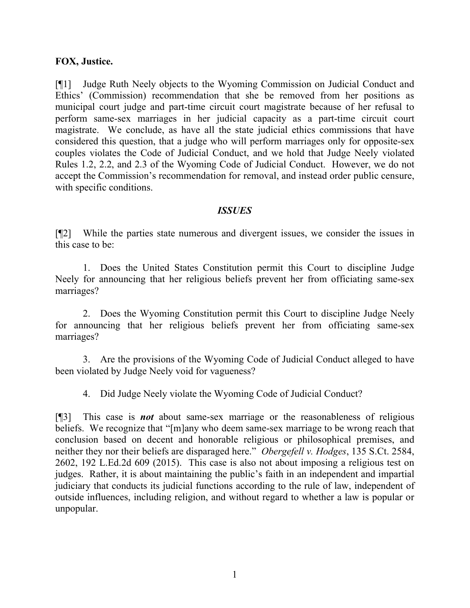### **FOX, Justice.**

[¶1] Judge Ruth Neely objects to the Wyoming Commission on Judicial Conduct and Ethics' (Commission) recommendation that she be removed from her positions as municipal court judge and part-time circuit court magistrate because of her refusal to perform same-sex marriages in her judicial capacity as a part-time circuit court magistrate. We conclude, as have all the state judicial ethics commissions that have considered this question, that a judge who will perform marriages only for opposite-sex couples violates the Code of Judicial Conduct, and we hold that Judge Neely violated Rules 1.2, 2.2, and 2.3 of the Wyoming Code of Judicial Conduct. However, we do not accept the Commission's recommendation for removal, and instead order public censure, with specific conditions.

### *ISSUES*

[¶2] While the parties state numerous and divergent issues, we consider the issues in this case to be:

1. Does the United States Constitution permit this Court to discipline Judge Neely for announcing that her religious beliefs prevent her from officiating same-sex marriages?

2. Does the Wyoming Constitution permit this Court to discipline Judge Neely for announcing that her religious beliefs prevent her from officiating same-sex marriages?

3. Are the provisions of the Wyoming Code of Judicial Conduct alleged to have been violated by Judge Neely void for vagueness?

4. Did Judge Neely violate the Wyoming Code of Judicial Conduct?

[¶3] This case is *not* about same-sex marriage or the reasonableness of religious beliefs. We recognize that "[m]any who deem same-sex marriage to be wrong reach that conclusion based on decent and honorable religious or philosophical premises, and neither they nor their beliefs are disparaged here." *Obergefell v. Hodges*, 135 S.Ct. 2584, 2602, 192 L.Ed.2d 609 (2015). This case is also not about imposing a religious test on judges. Rather, it is about maintaining the public's faith in an independent and impartial judiciary that conducts its judicial functions according to the rule of law, independent of outside influences, including religion, and without regard to whether a law is popular or unpopular.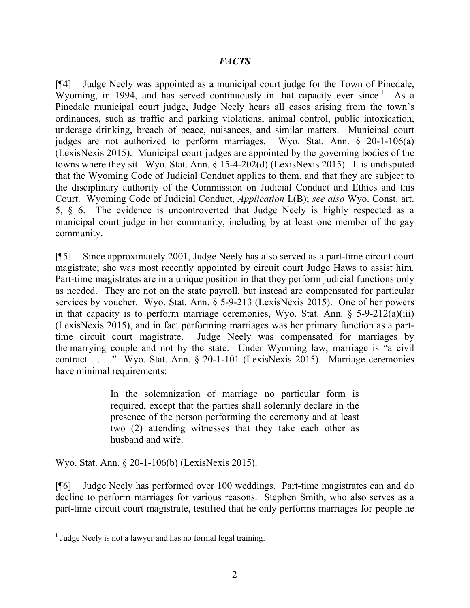## *FACTS*

[¶4] Judge Neely was appointed as a municipal court judge for the Town of Pinedale, Wyoming, in 1994, and has served continuously in that capacity ever since.<sup>1</sup> As a Pinedale municipal court judge, Judge Neely hears all cases arising from the town's ordinances, such as traffic and parking violations, animal control, public intoxication, underage drinking, breach of peace, nuisances, and similar matters. Municipal court judges are not authorized to perform marriages. Wyo. Stat. Ann. § 20-1-106(a) (LexisNexis 2015). Municipal court judges are appointed by the governing bodies of the towns where they sit. Wyo. Stat. Ann. § 15-4-202(d) (LexisNexis 2015). It is undisputed that the Wyoming Code of Judicial Conduct applies to them, and that they are subject to the disciplinary authority of the Commission on Judicial Conduct and Ethics and this Court. Wyoming Code of Judicial Conduct, *Application* I.(B); *see also* Wyo. Const. art. 5, § 6. The evidence is uncontroverted that Judge Neely is highly respected as a municipal court judge in her community, including by at least one member of the gay community.

[¶5] Since approximately 2001, Judge Neely has also served as a part-time circuit court magistrate; she was most recently appointed by circuit court Judge Haws to assist him. Part-time magistrates are in a unique position in that they perform judicial functions only as needed. They are not on the state payroll, but instead are compensated for particular services by voucher. Wyo. Stat. Ann. § 5-9-213 (LexisNexis 2015). One of her powers in that capacity is to perform marriage ceremonies, Wyo. Stat. Ann.  $\S$  5-9-212(a)(iii) (LexisNexis 2015), and in fact performing marriages was her primary function as a parttime circuit court magistrate. Judge Neely was compensated for marriages by the marrying couple and not by the state. Under Wyoming law, marriage is "a civil contract . . . ." Wyo. Stat. Ann. § 20-1-101 (LexisNexis 2015). Marriage ceremonies have minimal requirements:

> In the solemnization of marriage no particular form is required, except that the parties shall solemnly declare in the presence of the person performing the ceremony and at least two (2) attending witnesses that they take each other as husband and wife.

Wyo. Stat. Ann. § 20-1-106(b) (LexisNexis 2015).

[¶6] Judge Neely has performed over 100 weddings. Part-time magistrates can and do decline to perform marriages for various reasons. Stephen Smith, who also serves as a part-time circuit court magistrate, testified that he only performs marriages for people he

<sup>&</sup>lt;sup>1</sup> Judge Neely is not a lawyer and has no formal legal training.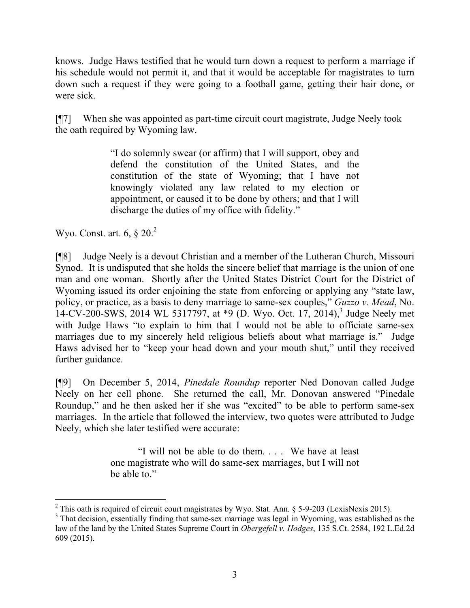knows. Judge Haws testified that he would turn down a request to perform a marriage if his schedule would not permit it, and that it would be acceptable for magistrates to turn down such a request if they were going to a football game, getting their hair done, or were sick.

[¶7] When she was appointed as part-time circuit court magistrate, Judge Neely took the oath required by Wyoming law.

> "I do solemnly swear (or affirm) that I will support, obey and defend the constitution of the United States, and the constitution of the state of Wyoming; that I have not knowingly violated any law related to my election or appointment, or caused it to be done by others; and that I will discharge the duties of my office with fidelity."

Wyo. Const. art. 6, § 20.<sup>2</sup>

[¶8] Judge Neely is a devout Christian and a member of the Lutheran Church, Missouri Synod. It is undisputed that she holds the sincere belief that marriage is the union of one man and one woman. Shortly after the United States District Court for the District of Wyoming issued its order enjoining the state from enforcing or applying any "state law, policy, or practice, as a basis to deny marriage to same-sex couples," *Guzzo v. Mead*, No. 14-CV-200-SWS, 2014 WL 5317797, at  $*9$  (D. Wyo. Oct. 17, 2014),<sup>3</sup> Judge Neely met with Judge Haws "to explain to him that I would not be able to officiate same-sex marriages due to my sincerely held religious beliefs about what marriage is." Judge Haws advised her to "keep your head down and your mouth shut," until they received further guidance.

[¶9] On December 5, 2014, *Pinedale Roundup* reporter Ned Donovan called Judge Neely on her cell phone. She returned the call, Mr. Donovan answered "Pinedale Roundup," and he then asked her if she was "excited" to be able to perform same-sex marriages. In the article that followed the interview, two quotes were attributed to Judge Neely, which she later testified were accurate:

> "I will not be able to do them. . . . We have at least one magistrate who will do same-sex marriages, but I will not be able to."

 <sup>2</sup> This oath is required of circuit court magistrates by Wyo. Stat. Ann. § 5-9-203 (LexisNexis 2015).

<sup>&</sup>lt;sup>3</sup> That decision, essentially finding that same-sex marriage was legal in Wyoming, was established as the law of the land by the United States Supreme Court in *Obergefell v. Hodges*, 135 S.Ct. 2584, 192 L.Ed.2d 609 (2015).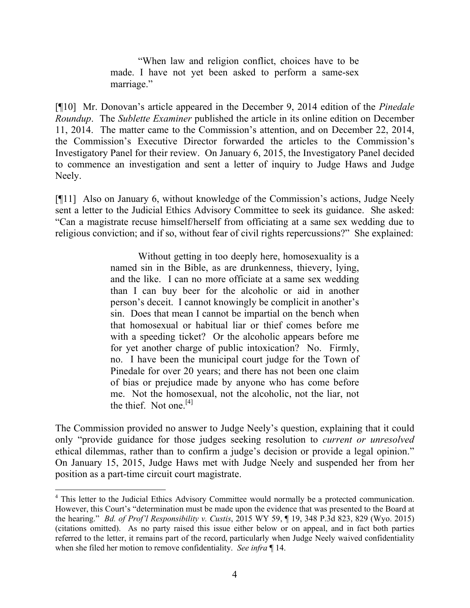"When law and religion conflict, choices have to be made. I have not yet been asked to perform a same-sex marriage."

[¶10] Mr. Donovan's article appeared in the December 9, 2014 edition of the *Pinedale Roundup*. The *Sublette Examiner* published the article in its online edition on December 11, 2014. The matter came to the Commission's attention, and on December 22, 2014, the Commission's Executive Director forwarded the articles to the Commission's Investigatory Panel for their review. On January 6, 2015, the Investigatory Panel decided to commence an investigation and sent a letter of inquiry to Judge Haws and Judge Neely.

[¶11] Also on January 6, without knowledge of the Commission's actions, Judge Neely sent a letter to the Judicial Ethics Advisory Committee to seek its guidance. She asked: "Can a magistrate recuse himself/herself from officiating at a same sex wedding due to religious conviction; and if so, without fear of civil rights repercussions?" She explained:

> Without getting in too deeply here, homosexuality is a named sin in the Bible, as are drunkenness, thievery, lying, and the like. I can no more officiate at a same sex wedding than I can buy beer for the alcoholic or aid in another person's deceit. I cannot knowingly be complicit in another's sin. Does that mean I cannot be impartial on the bench when that homosexual or habitual liar or thief comes before me with a speeding ticket? Or the alcoholic appears before me for yet another charge of public intoxication? No. Firmly, no. I have been the municipal court judge for the Town of Pinedale for over 20 years; and there has not been one claim of bias or prejudice made by anyone who has come before me. Not the homosexual, not the alcoholic, not the liar, not the thief. Not one.  $[4]$

The Commission provided no answer to Judge Neely's question, explaining that it could only "provide guidance for those judges seeking resolution to *current or unresolved* ethical dilemmas, rather than to confirm a judge's decision or provide a legal opinion." On January 15, 2015, Judge Haws met with Judge Neely and suspended her from her position as a part-time circuit court magistrate.

<sup>&</sup>lt;sup>4</sup> This letter to the Judicial Ethics Advisory Committee would normally be a protected communication. However, this Court's "determination must be made upon the evidence that was presented to the Board at the hearing." *Bd. of Prof'l Responsibility v. Custis*, 2015 WY 59, ¶ 19, 348 P.3d 823, 829 (Wyo. 2015) (citations omitted). As no party raised this issue either below or on appeal, and in fact both parties referred to the letter, it remains part of the record, particularly when Judge Neely waived confidentiality when she filed her motion to remove confidentiality. *See infra* ¶ 14.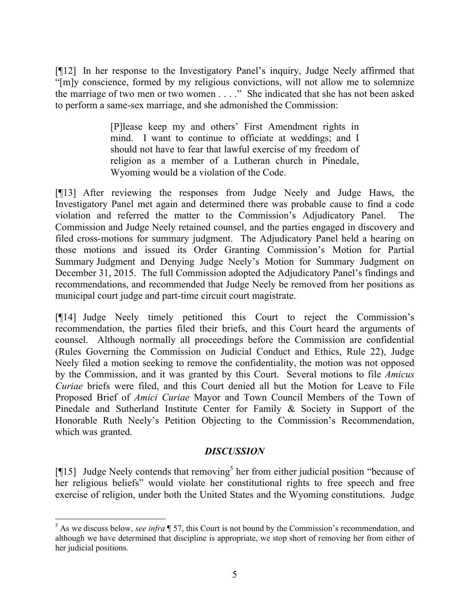[¶12] In her response to the Investigatory Panel's inquiry, Judge Neely affirmed that "[m]y conscience, formed by my religious convictions, will not allow me to solemnize the marriage of two men or two women . . . ." She indicated that she has not been asked to perform a same-sex marriage, and she admonished the Commission:

> [P]lease keep my and others' First Amendment rights in mind. I want to continue to officiate at weddings; and I should not have to fear that lawful exercise of my freedom of religion as a member of a Lutheran church in Pinedale, Wyoming would be a violation of the Code.

[¶13] After reviewing the responses from Judge Neely and Judge Haws, the Investigatory Panel met again and determined there was probable cause to find a code violation and referred the matter to the Commission's Adjudicatory Panel. The Commission and Judge Neely retained counsel, and the parties engaged in discovery and filed cross-motions for summary judgment. The Adjudicatory Panel held a hearing on those motions and issued its Order Granting Commission's Motion for Partial Summary Judgment and Denying Judge Neely's Motion for Summary Judgment on December 31, 2015. The full Commission adopted the Adjudicatory Panel's findings and recommendations, and recommended that Judge Neely be removed from her positions as municipal court judge and part-time circuit court magistrate.

[¶14] Judge Neely timely petitioned this Court to reject the Commission's recommendation, the parties filed their briefs, and this Court heard the arguments of counsel. Although normally all proceedings before the Commission are confidential (Rules Governing the Commission on Judicial Conduct and Ethics, Rule 22), Judge Neely filed a motion seeking to remove the confidentiality, the motion was not opposed by the Commission, and it was granted by this Court. Several motions to file *Amicus Curiae* briefs were filed, and this Court denied all but the Motion for Leave to File Proposed Brief of *Amici Curiae* Mayor and Town Council Members of the Town of Pinedale and Sutherland Institute Center for Family & Society in Support of the Honorable Ruth Neely's Petition Objecting to the Commission's Recommendation, which was granted.

## *DISCUSSION*

[ $[15]$  Judge Neely contends that removing<sup>5</sup> her from either judicial position "because of her religious beliefs" would violate her constitutional rights to free speech and free exercise of religion, under both the United States and the Wyoming constitutions. Judge

<sup>5</sup> As we discuss below, *see infra* ¶ 57, this Court is not bound by the Commission's recommendation, and although we have determined that discipline is appropriate, we stop short of removing her from either of her judicial positions.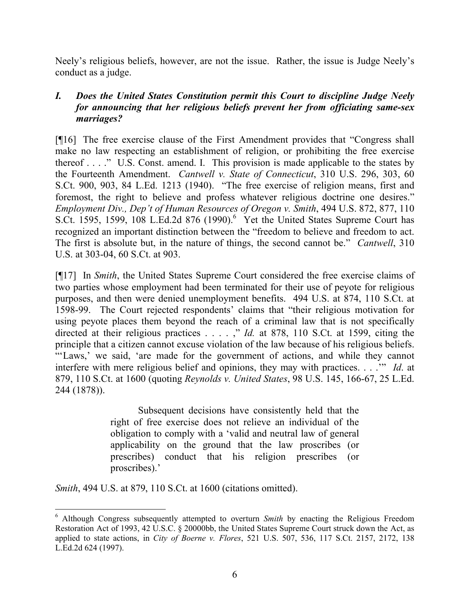Neely's religious beliefs, however, are not the issue. Rather, the issue is Judge Neely's conduct as a judge.

## *I. Does the United States Constitution permit this Court to discipline Judge Neely for announcing that her religious beliefs prevent her from officiating same-sex marriages?*

[¶16] The free exercise clause of the First Amendment provides that "Congress shall make no law respecting an establishment of religion, or prohibiting the free exercise thereof . . . ." U.S. Const. amend. I. This provision is made applicable to the states by the Fourteenth Amendment. *Cantwell v. State of Connecticut*, 310 U.S. 296, 303, 60 S.Ct. 900, 903, 84 L.Ed. 1213 (1940). "The free exercise of religion means, first and foremost, the right to believe and profess whatever religious doctrine one desires." *Employment Div., Dep't of Human Resources of Oregon v. Smith*, 494 U.S. 872, 877, 110 S.Ct. 1595, 1599, 108 L.Ed.2d 876 (1990). $<sup>6</sup>$  Yet the United States Supreme Court has</sup> recognized an important distinction between the "freedom to believe and freedom to act. The first is absolute but, in the nature of things, the second cannot be." *Cantwell*, 310 U.S. at 303-04, 60 S.Ct. at 903.

[¶17] In *Smith*, the United States Supreme Court considered the free exercise claims of two parties whose employment had been terminated for their use of peyote for religious purposes, and then were denied unemployment benefits. 494 U.S. at 874, 110 S.Ct. at 1598-99. The Court rejected respondents' claims that "their religious motivation for using peyote places them beyond the reach of a criminal law that is not specifically directed at their religious practices . . . . ," *Id.* at 878, 110 S.Ct. at 1599, citing the principle that a citizen cannot excuse violation of the law because of his religious beliefs. "'Laws,' we said, 'are made for the government of actions, and while they cannot interfere with mere religious belief and opinions, they may with practices. . . .'" *Id*. at 879, 110 S.Ct. at 1600 (quoting *Reynolds v. United States*, 98 U.S. 145, 166-67, 25 L.Ed. 244 (1878)).

> Subsequent decisions have consistently held that the right of free exercise does not relieve an individual of the obligation to comply with a 'valid and neutral law of general applicability on the ground that the law proscribes (or prescribes) conduct that his religion prescribes (or proscribes).'

*Smith*, 494 U.S. at 879, 110 S.Ct. at 1600 (citations omitted).

<sup>6</sup> Although Congress subsequently attempted to overturn *Smith* by enacting the Religious Freedom Restoration Act of 1993, 42 U.S.C. § 20000bb, the United States Supreme Court struck down the Act, as applied to state actions, in *City of Boerne v. Flores*, 521 U.S. 507, 536, 117 S.Ct. 2157, 2172, 138 L.Ed.2d 624 (1997).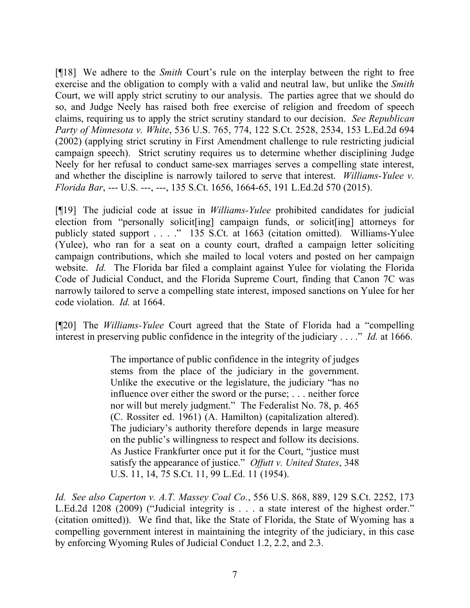[¶18] We adhere to the *Smith* Court's rule on the interplay between the right to free exercise and the obligation to comply with a valid and neutral law, but unlike the *Smith*  Court, we will apply strict scrutiny to our analysis. The parties agree that we should do so, and Judge Neely has raised both free exercise of religion and freedom of speech claims, requiring us to apply the strict scrutiny standard to our decision. *See Republican Party of Minnesota v. White*, 536 U.S. 765, 774, 122 S.Ct. 2528, 2534, 153 L.Ed.2d 694 (2002) (applying strict scrutiny in First Amendment challenge to rule restricting judicial campaign speech). Strict scrutiny requires us to determine whether disciplining Judge Neely for her refusal to conduct same-sex marriages serves a compelling state interest, and whether the discipline is narrowly tailored to serve that interest. *Williams-Yulee v. Florida Bar*, --- U.S. ---, ---, 135 S.Ct. 1656, 1664-65, 191 L.Ed.2d 570 (2015).

[¶19] The judicial code at issue in *Williams-Yulee* prohibited candidates for judicial election from "personally solicit[ing] campaign funds, or solicit[ing] attorneys for publicly stated support . . . ." 135 S.Ct. at 1663 (citation omitted). Williams-Yulee (Yulee), who ran for a seat on a county court, drafted a campaign letter soliciting campaign contributions, which she mailed to local voters and posted on her campaign website. *Id.* The Florida bar filed a complaint against Yulee for violating the Florida Code of Judicial Conduct, and the Florida Supreme Court, finding that Canon 7C was narrowly tailored to serve a compelling state interest, imposed sanctions on Yulee for her code violation. *Id.* at 1664.

[¶20] The *Williams-Yulee* Court agreed that the State of Florida had a "compelling interest in preserving public confidence in the integrity of the judiciary . . . ." *Id.* at 1666.

> The importance of public confidence in the integrity of judges stems from the place of the judiciary in the government. Unlike the executive or the legislature, the judiciary "has no influence over either the sword or the purse; . . . neither force nor will but merely judgment." The Federalist No. 78, p. 465 (C. Rossiter ed. 1961) (A. Hamilton) (capitalization altered). The judiciary's authority therefore depends in large measure on the public's willingness to respect and follow its decisions. As Justice Frankfurter once put it for the Court, "justice must satisfy the appearance of justice." *Offutt v. United States*, 348 U.S. 11, 14, 75 S.Ct. 11, 99 L.Ed. 11 (1954).

*Id. See also Caperton v. A.T. Massey Coal Co.*, 556 U.S. 868, 889, 129 S.Ct. 2252, 173 L.Ed.2d 1208 (2009) ("Judicial integrity is . . . a state interest of the highest order." (citation omitted)). We find that, like the State of Florida, the State of Wyoming has a compelling government interest in maintaining the integrity of the judiciary, in this case by enforcing Wyoming Rules of Judicial Conduct 1.2, 2.2, and 2.3.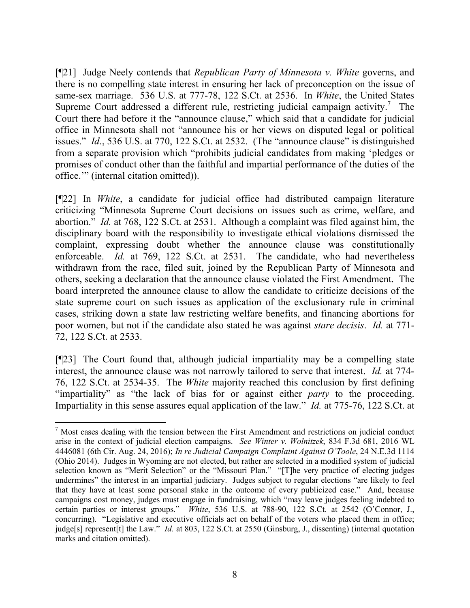[¶21] Judge Neely contends that *Republican Party of Minnesota v. White* governs, and there is no compelling state interest in ensuring her lack of preconception on the issue of same-sex marriage. 536 U.S. at 777-78, 122 S.Ct. at 2536. In *White*, the United States Supreme Court addressed a different rule, restricting judicial campaign activity.<sup>7</sup> The Court there had before it the "announce clause," which said that a candidate for judicial office in Minnesota shall not "announce his or her views on disputed legal or political issues." *Id*., 536 U.S. at 770, 122 S.Ct. at 2532. (The "announce clause" is distinguished from a separate provision which "prohibits judicial candidates from making 'pledges or promises of conduct other than the faithful and impartial performance of the duties of the office.'" (internal citation omitted)).

[¶22] In *White*, a candidate for judicial office had distributed campaign literature criticizing "Minnesota Supreme Court decisions on issues such as crime, welfare, and abortion." *Id.* at 768, 122 S.Ct. at 2531. Although a complaint was filed against him, the disciplinary board with the responsibility to investigate ethical violations dismissed the complaint, expressing doubt whether the announce clause was constitutionally enforceable. *Id.* at 769, 122 S.Ct. at 2531. The candidate, who had nevertheless withdrawn from the race, filed suit, joined by the Republican Party of Minnesota and others, seeking a declaration that the announce clause violated the First Amendment. The board interpreted the announce clause to allow the candidate to criticize decisions of the state supreme court on such issues as application of the exclusionary rule in criminal cases, striking down a state law restricting welfare benefits, and financing abortions for poor women, but not if the candidate also stated he was against *stare decisis*. *Id.* at 771- 72, 122 S.Ct. at 2533.

[¶23] The Court found that, although judicial impartiality may be a compelling state interest, the announce clause was not narrowly tailored to serve that interest. *Id.* at 774- 76, 122 S.Ct. at 2534-35. The *White* majority reached this conclusion by first defining "impartiality" as "the lack of bias for or against either *party* to the proceeding. Impartiality in this sense assures equal application of the law." *Id.* at 775-76, 122 S.Ct. at

<sup>7</sup> Most cases dealing with the tension between the First Amendment and restrictions on judicial conduct arise in the context of judicial election campaigns. *See Winter v. Wolnitzek*, 834 F.3d 681, 2016 WL 4446081 (6th Cir. Aug. 24, 2016); *In re Judicial Campaign Complaint Against O'Toole*, 24 N.E.3d 1114 (Ohio 2014). Judges in Wyoming are not elected, but rather are selected in a modified system of judicial selection known as "Merit Selection" or the "Missouri Plan." "[T]he very practice of electing judges undermines" the interest in an impartial judiciary. Judges subject to regular elections "are likely to feel that they have at least some personal stake in the outcome of every publicized case." And, because campaigns cost money, judges must engage in fundraising, which "may leave judges feeling indebted to certain parties or interest groups." *White*, 536 U.S. at 788-90, 122 S.Ct. at 2542 (O'Connor, J., concurring). "Legislative and executive officials act on behalf of the voters who placed them in office; judge[s] represent[t] the Law." *Id.* at 803, 122 S.Ct. at 2550 (Ginsburg, J., dissenting) (internal quotation marks and citation omitted).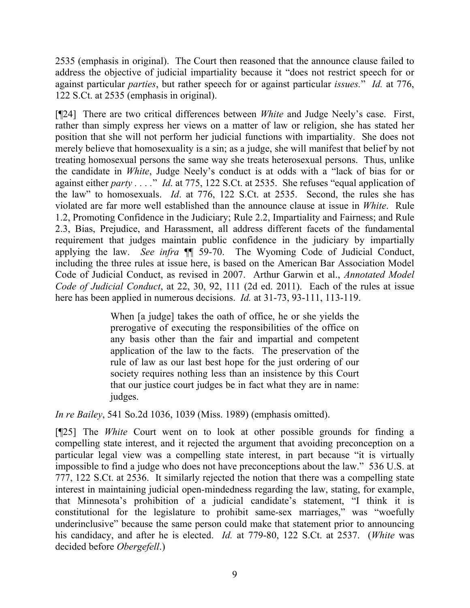2535 (emphasis in original). The Court then reasoned that the announce clause failed to address the objective of judicial impartiality because it "does not restrict speech for or against particular *parties*, but rather speech for or against particular *issues.*" *Id.* at 776, 122 S.Ct. at 2535 (emphasis in original).

[¶24] There are two critical differences between *White* and Judge Neely's case. First, rather than simply express her views on a matter of law or religion, she has stated her position that she will not perform her judicial functions with impartiality. She does not merely believe that homosexuality is a sin; as a judge, she will manifest that belief by not treating homosexual persons the same way she treats heterosexual persons. Thus, unlike the candidate in *White*, Judge Neely's conduct is at odds with a "lack of bias for or against either *party . . . .*" *Id*. at 775, 122 S.Ct. at 2535. She refuses "equal application of the law" to homosexuals. *Id*. at 776, 122 S.Ct. at 2535. Second, the rules she has violated are far more well established than the announce clause at issue in *White*. Rule 1.2, Promoting Confidence in the Judiciary; Rule 2.2, Impartiality and Fairness; and Rule 2.3, Bias, Prejudice, and Harassment, all address different facets of the fundamental requirement that judges maintain public confidence in the judiciary by impartially applying the law. *See infra* ¶¶ 59-70. The Wyoming Code of Judicial Conduct, including the three rules at issue here, is based on the American Bar Association Model Code of Judicial Conduct, as revised in 2007. Arthur Garwin et al., *Annotated Model Code of Judicial Conduct*, at 22, 30, 92, 111 (2d ed. 2011). Each of the rules at issue here has been applied in numerous decisions. *Id.* at 31-73, 93-111, 113-119.

> When [a judge] takes the oath of office, he or she yields the prerogative of executing the responsibilities of the office on any basis other than the fair and impartial and competent application of the law to the facts. The preservation of the rule of law as our last best hope for the just ordering of our society requires nothing less than an insistence by this Court that our justice court judges be in fact what they are in name: judges.

*In re Bailey*, 541 So.2d 1036, 1039 (Miss. 1989) (emphasis omitted).

[¶25] The *White* Court went on to look at other possible grounds for finding a compelling state interest, and it rejected the argument that avoiding preconception on a particular legal view was a compelling state interest, in part because "it is virtually impossible to find a judge who does not have preconceptions about the law." 536 U.S. at 777, 122 S.Ct. at 2536. It similarly rejected the notion that there was a compelling state interest in maintaining judicial open-mindedness regarding the law, stating, for example, that Minnesota's prohibition of a judicial candidate's statement, "I think it is constitutional for the legislature to prohibit same-sex marriages," was "woefully underinclusive" because the same person could make that statement prior to announcing his candidacy, and after he is elected. *Id.* at 779-80, 122 S.Ct. at 2537. (*White* was decided before *Obergefell*.)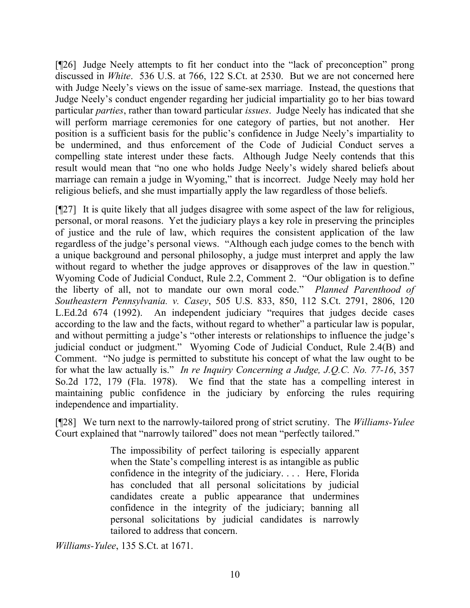[¶26] Judge Neely attempts to fit her conduct into the "lack of preconception" prong discussed in *White*. 536 U.S. at 766, 122 S.Ct. at 2530. But we are not concerned here with Judge Neely's views on the issue of same-sex marriage. Instead, the questions that Judge Neely's conduct engender regarding her judicial impartiality go to her bias toward particular *parties*, rather than toward particular *issues*. Judge Neely has indicated that she will perform marriage ceremonies for one category of parties, but not another. Her position is a sufficient basis for the public's confidence in Judge Neely's impartiality to be undermined, and thus enforcement of the Code of Judicial Conduct serves a compelling state interest under these facts. Although Judge Neely contends that this result would mean that "no one who holds Judge Neely's widely shared beliefs about marriage can remain a judge in Wyoming," that is incorrect. Judge Neely may hold her religious beliefs, and she must impartially apply the law regardless of those beliefs.

[¶27] It is quite likely that all judges disagree with some aspect of the law for religious, personal, or moral reasons. Yet the judiciary plays a key role in preserving the principles of justice and the rule of law, which requires the consistent application of the law regardless of the judge's personal views. "Although each judge comes to the bench with a unique background and personal philosophy, a judge must interpret and apply the law without regard to whether the judge approves or disapproves of the law in question." Wyoming Code of Judicial Conduct, Rule 2.2, Comment 2. "Our obligation is to define the liberty of all, not to mandate our own moral code." *Planned Parenthood of Southeastern Pennsylvania. v. Casey*, 505 U.S. 833, 850, 112 S.Ct. 2791, 2806, 120 L.Ed.2d 674 (1992). An independent judiciary "requires that judges decide cases according to the law and the facts, without regard to whether" a particular law is popular, and without permitting a judge's "other interests or relationships to influence the judge's judicial conduct or judgment." Wyoming Code of Judicial Conduct, Rule 2.4(B) and Comment. "No judge is permitted to substitute his concept of what the law ought to be for what the law actually is." *In re Inquiry Concerning a Judge, J.Q.C. No. 77-16*, 357 So.2d 172, 179 (Fla. 1978). We find that the state has a compelling interest in maintaining public confidence in the judiciary by enforcing the rules requiring independence and impartiality.

[¶28] We turn next to the narrowly-tailored prong of strict scrutiny. The *Williams-Yulee*  Court explained that "narrowly tailored" does not mean "perfectly tailored."

> The impossibility of perfect tailoring is especially apparent when the State's compelling interest is as intangible as public confidence in the integrity of the judiciary. . . . Here, Florida has concluded that all personal solicitations by judicial candidates create a public appearance that undermines confidence in the integrity of the judiciary; banning all personal solicitations by judicial candidates is narrowly tailored to address that concern.

*Williams-Yulee*, 135 S.Ct. at 1671.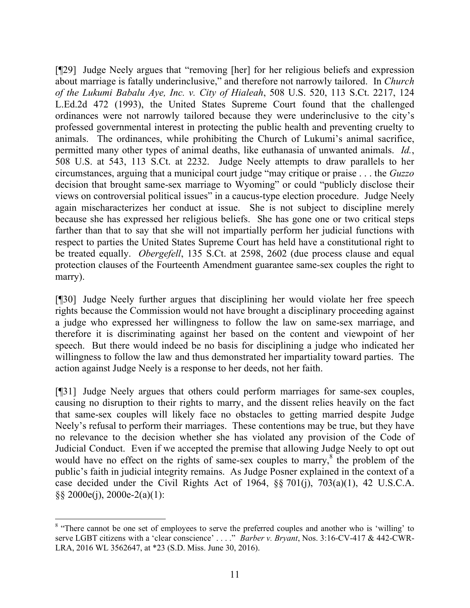[¶29] Judge Neely argues that "removing [her] for her religious beliefs and expression about marriage is fatally underinclusive," and therefore not narrowly tailored. In *Church of the Lukumi Babalu Aye, Inc. v. City of Hialeah*, 508 U.S. 520, 113 S.Ct. 2217, 124 L.Ed.2d 472 (1993), the United States Supreme Court found that the challenged ordinances were not narrowly tailored because they were underinclusive to the city's professed governmental interest in protecting the public health and preventing cruelty to animals. The ordinances, while prohibiting the Church of Lukumi's animal sacrifice, permitted many other types of animal deaths, like euthanasia of unwanted animals. *Id.*, 508 U.S. at 543, 113 S.Ct. at 2232. Judge Neely attempts to draw parallels to her circumstances, arguing that a municipal court judge "may critique or praise . . . the *Guzzo* decision that brought same-sex marriage to Wyoming" or could "publicly disclose their views on controversial political issues" in a caucus-type election procedure. Judge Neely again mischaracterizes her conduct at issue. She is not subject to discipline merely because she has expressed her religious beliefs. She has gone one or two critical steps farther than that to say that she will not impartially perform her judicial functions with respect to parties the United States Supreme Court has held have a constitutional right to be treated equally. *Obergefell*, 135 S.Ct. at 2598, 2602 (due process clause and equal protection clauses of the Fourteenth Amendment guarantee same-sex couples the right to marry).

[¶30] Judge Neely further argues that disciplining her would violate her free speech rights because the Commission would not have brought a disciplinary proceeding against a judge who expressed her willingness to follow the law on same-sex marriage, and therefore it is discriminating against her based on the content and viewpoint of her speech. But there would indeed be no basis for disciplining a judge who indicated her willingness to follow the law and thus demonstrated her impartiality toward parties. The action against Judge Neely is a response to her deeds, not her faith.

[¶31] Judge Neely argues that others could perform marriages for same-sex couples, causing no disruption to their rights to marry, and the dissent relies heavily on the fact that same-sex couples will likely face no obstacles to getting married despite Judge Neely's refusal to perform their marriages. These contentions may be true, but they have no relevance to the decision whether she has violated any provision of the Code of Judicial Conduct. Even if we accepted the premise that allowing Judge Neely to opt out would have no effect on the rights of same-sex couples to marry,<sup>8</sup> the problem of the public's faith in judicial integrity remains. As Judge Posner explained in the context of a case decided under the Civil Rights Act of 1964, §§ 701(j), 703(a)(1), 42 U.S.C.A. §§ 2000e(j), 2000e-2(a)(1):

<sup>&</sup>lt;sup>8</sup> "There cannot be one set of employees to serve the preferred couples and another who is 'willing' to serve LGBT citizens with a 'clear conscience' . . . ." *Barber v. Bryant*, Nos. 3:16-CV-417 & 442-CWR-LRA, 2016 WL 3562647, at \*23 (S.D. Miss. June 30, 2016).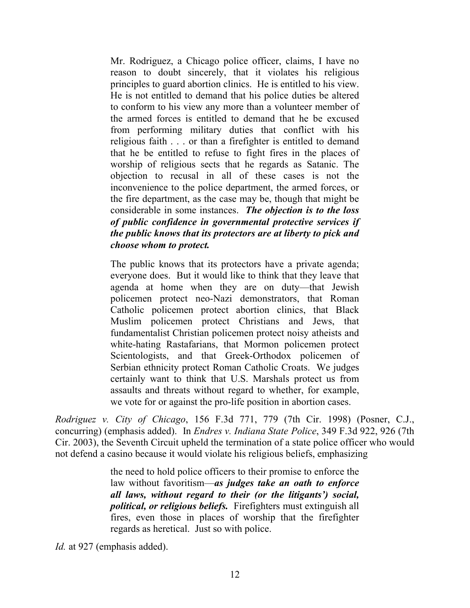Mr. Rodriguez, a Chicago police officer, claims, I have no reason to doubt sincerely, that it violates his religious principles to guard abortion clinics. He is entitled to his view. He is not entitled to demand that his police duties be altered to conform to his view any more than a volunteer member of the armed forces is entitled to demand that he be excused from performing military duties that conflict with his religious faith . . . or than a firefighter is entitled to demand that he be entitled to refuse to fight fires in the places of worship of religious sects that he regards as Satanic. The objection to recusal in all of these cases is not the inconvenience to the police department, the armed forces, or the fire department, as the case may be, though that might be considerable in some instances. *The objection is to the loss of public confidence in governmental protective services if the public knows that its protectors are at liberty to pick and choose whom to protect.*

The public knows that its protectors have a private agenda; everyone does. But it would like to think that they leave that agenda at home when they are on duty—that Jewish policemen protect neo-Nazi demonstrators, that Roman Catholic policemen protect abortion clinics, that Black Muslim policemen protect Christians and Jews, that fundamentalist Christian policemen protect noisy atheists and white-hating Rastafarians, that Mormon policemen protect Scientologists, and that Greek-Orthodox policemen of Serbian ethnicity protect Roman Catholic Croats. We judges certainly want to think that U.S. Marshals protect us from assaults and threats without regard to whether, for example, we vote for or against the pro-life position in abortion cases.

*Rodriguez v. City of Chicago*, 156 F.3d 771, 779 (7th Cir. 1998) (Posner, C.J., concurring) (emphasis added). In *Endres v. Indiana State Police*, 349 F.3d 922, 926 (7th Cir. 2003), the Seventh Circuit upheld the termination of a state police officer who would not defend a casino because it would violate his religious beliefs, emphasizing

> the need to hold police officers to their promise to enforce the law without favoritism—*as judges take an oath to enforce all laws, without regard to their (or the litigants') social, political, or religious beliefs.* Firefighters must extinguish all fires, even those in places of worship that the firefighter regards as heretical. Just so with police.

*Id.* at 927 (emphasis added).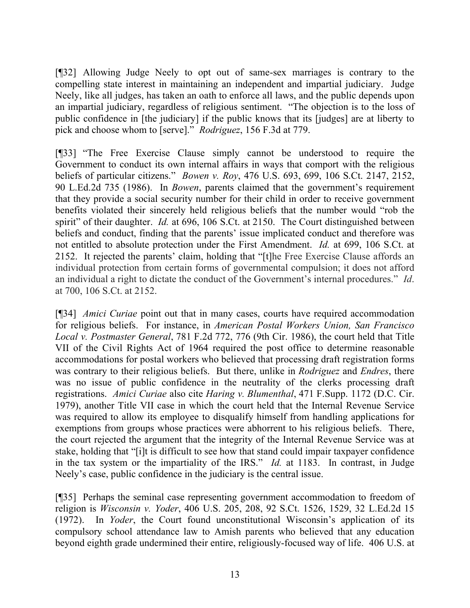[¶32] Allowing Judge Neely to opt out of same-sex marriages is contrary to the compelling state interest in maintaining an independent and impartial judiciary. Judge Neely, like all judges, has taken an oath to enforce all laws, and the public depends upon an impartial judiciary, regardless of religious sentiment. "The objection is to the loss of public confidence in [the judiciary] if the public knows that its [judges] are at liberty to pick and choose whom to [serve]." *Rodriguez*, 156 F.3d at 779.

[¶33] "The Free Exercise Clause simply cannot be understood to require the Government to conduct its own internal affairs in ways that comport with the religious beliefs of particular citizens." *Bowen v. Roy*, 476 U.S. 693, 699, 106 S.Ct. 2147, 2152, 90 L.Ed.2d 735 (1986). In *Bowen*, parents claimed that the government's requirement that they provide a social security number for their child in order to receive government benefits violated their sincerely held religious beliefs that the number would "rob the spirit" of their daughter. *Id.* at 696, 106 S.Ct. at 2150. The Court distinguished between beliefs and conduct, finding that the parents' issue implicated conduct and therefore was not entitled to absolute protection under the First Amendment. *Id.* at 699, 106 S.Ct. at 2152. It rejected the parents' claim, holding that "[t]he Free Exercise Clause affords an individual protection from certain forms of governmental compulsion; it does not afford an individual a right to dictate the conduct of the Government's internal procedures." *Id*. at 700, 106 S.Ct. at 2152.

[¶34] *Amici Curiae* point out that in many cases, courts have required accommodation for religious beliefs. For instance, in *American Postal Workers Union, San Francisco Local v. Postmaster General*, 781 F.2d 772, 776 (9th Cir. 1986), the court held that Title VII of the Civil Rights Act of 1964 required the post office to determine reasonable accommodations for postal workers who believed that processing draft registration forms was contrary to their religious beliefs. But there, unlike in *Rodriguez* and *Endres*, there was no issue of public confidence in the neutrality of the clerks processing draft registrations. *Amici Curiae* also cite *Haring v. Blumenthal*, 471 F.Supp. 1172 (D.C. Cir. 1979), another Title VII case in which the court held that the Internal Revenue Service was required to allow its employee to disqualify himself from handling applications for exemptions from groups whose practices were abhorrent to his religious beliefs. There, the court rejected the argument that the integrity of the Internal Revenue Service was at stake, holding that "[i]t is difficult to see how that stand could impair taxpayer confidence in the tax system or the impartiality of the IRS." *Id.* at 1183. In contrast, in Judge Neely's case, public confidence in the judiciary is the central issue.

[¶35] Perhaps the seminal case representing government accommodation to freedom of religion is *Wisconsin v. Yoder*, 406 U.S. 205, 208, 92 S.Ct. 1526, 1529, 32 L.Ed.2d 15 (1972). In *Yoder*, the Court found unconstitutional Wisconsin's application of its compulsory school attendance law to Amish parents who believed that any education beyond eighth grade undermined their entire, religiously-focused way of life. 406 U.S. at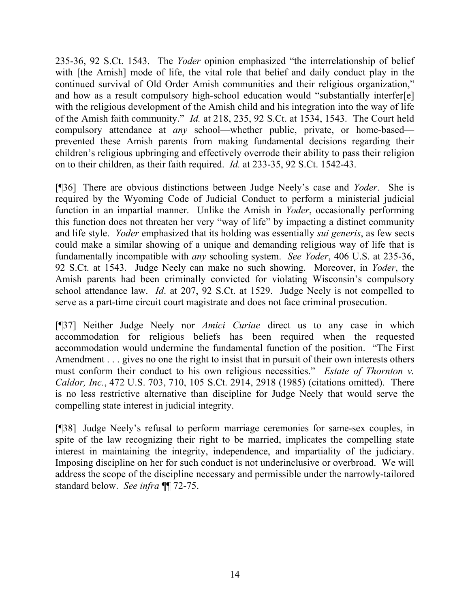235-36, 92 S.Ct. 1543. The *Yoder* opinion emphasized "the interrelationship of belief with [the Amish] mode of life, the vital role that belief and daily conduct play in the continued survival of Old Order Amish communities and their religious organization," and how as a result compulsory high-school education would "substantially interfer[e] with the religious development of the Amish child and his integration into the way of life of the Amish faith community." *Id.* at 218, 235, 92 S.Ct. at 1534, 1543. The Court held compulsory attendance at *any* school—whether public, private, or home-based prevented these Amish parents from making fundamental decisions regarding their children's religious upbringing and effectively overrode their ability to pass their religion on to their children, as their faith required. *Id.* at 233-35, 92 S.Ct. 1542-43.

[¶36] There are obvious distinctions between Judge Neely's case and *Yoder*. She is required by the Wyoming Code of Judicial Conduct to perform a ministerial judicial function in an impartial manner. Unlike the Amish in *Yoder*, occasionally performing this function does not threaten her very "way of life" by impacting a distinct community and life style. *Yoder* emphasized that its holding was essentially *sui generis*, as few sects could make a similar showing of a unique and demanding religious way of life that is fundamentally incompatible with *any* schooling system. *See Yoder*, 406 U.S. at 235-36, 92 S.Ct. at 1543. Judge Neely can make no such showing. Moreover, in *Yoder*, the Amish parents had been criminally convicted for violating Wisconsin's compulsory school attendance law. *Id*. at 207, 92 S.Ct. at 1529. Judge Neely is not compelled to serve as a part-time circuit court magistrate and does not face criminal prosecution.

[¶37] Neither Judge Neely nor *Amici Curiae* direct us to any case in which accommodation for religious beliefs has been required when the requested accommodation would undermine the fundamental function of the position. "The First Amendment . . . gives no one the right to insist that in pursuit of their own interests others must conform their conduct to his own religious necessities." *Estate of Thornton v. Caldor, Inc.*, 472 U.S. 703, 710, 105 S.Ct. 2914, 2918 (1985) (citations omitted). There is no less restrictive alternative than discipline for Judge Neely that would serve the compelling state interest in judicial integrity.

[¶38] Judge Neely's refusal to perform marriage ceremonies for same-sex couples, in spite of the law recognizing their right to be married, implicates the compelling state interest in maintaining the integrity, independence, and impartiality of the judiciary. Imposing discipline on her for such conduct is not underinclusive or overbroad. We will address the scope of the discipline necessary and permissible under the narrowly-tailored standard below. *See infra* ¶¶ 72-75.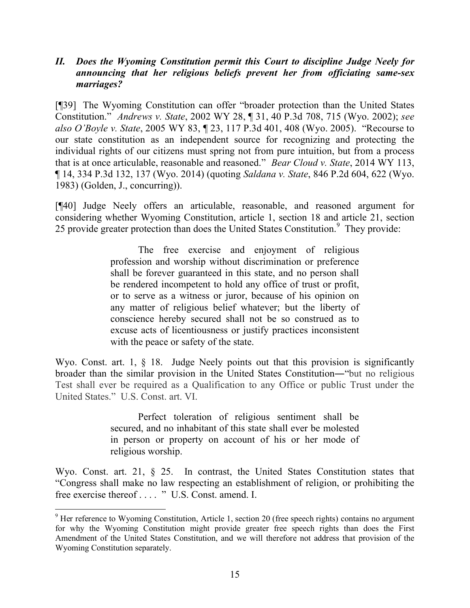## *II. Does the Wyoming Constitution permit this Court to discipline Judge Neely for announcing that her religious beliefs prevent her from officiating same-sex marriages?*

[¶39] The Wyoming Constitution can offer "broader protection than the United States Constitution." *Andrews v. State*, 2002 WY 28, ¶ 31, 40 P.3d 708, 715 (Wyo. 2002); *see also O'Boyle v. State*, 2005 WY 83, ¶ 23, 117 P.3d 401, 408 (Wyo. 2005). "Recourse to our state constitution as an independent source for recognizing and protecting the individual rights of our citizens must spring not from pure intuition, but from a process that is at once articulable, reasonable and reasoned." *Bear Cloud v. State*, 2014 WY 113, ¶ 14, 334 P.3d 132, 137 (Wyo. 2014) (quoting *Saldana v. State*, 846 P.2d 604, 622 (Wyo. 1983) (Golden, J., concurring)).

[¶40] Judge Neely offers an articulable, reasonable, and reasoned argument for considering whether Wyoming Constitution, article 1, section 18 and article 21, section 25 provide greater protection than does the United States Constitution.<sup>9</sup> They provide:

> The free exercise and enjoyment of religious profession and worship without discrimination or preference shall be forever guaranteed in this state, and no person shall be rendered incompetent to hold any office of trust or profit, or to serve as a witness or juror, because of his opinion on any matter of religious belief whatever; but the liberty of conscience hereby secured shall not be so construed as to excuse acts of licentiousness or justify practices inconsistent with the peace or safety of the state.

Wyo. Const. art. 1, § 18. Judge Neely points out that this provision is significantly broader than the similar provision in the United States Constitution―"but no religious Test shall ever be required as a Qualification to any Office or public Trust under the United States." U.S. Const. art. VI.

> Perfect toleration of religious sentiment shall be secured, and no inhabitant of this state shall ever be molested in person or property on account of his or her mode of religious worship.

Wyo. Const. art. 21, § 25. In contrast, the United States Constitution states that "Congress shall make no law respecting an establishment of religion, or prohibiting the free exercise thereof . . . . " U.S. Const. amend. I.

 $9$  Her reference to Wyoming Constitution, Article 1, section 20 (free speech rights) contains no argument for why the Wyoming Constitution might provide greater free speech rights than does the First Amendment of the United States Constitution, and we will therefore not address that provision of the Wyoming Constitution separately.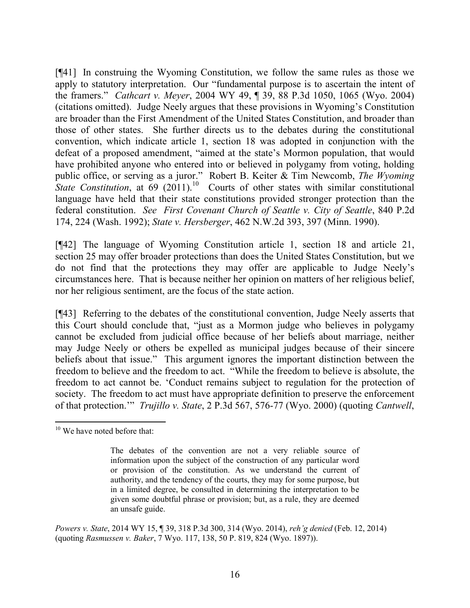[¶41] In construing the Wyoming Constitution, we follow the same rules as those we apply to statutory interpretation. Our "fundamental purpose is to ascertain the intent of the framers." *Cathcart v. Meyer*, 2004 WY 49, ¶ 39, 88 P.3d 1050, 1065 (Wyo. 2004) (citations omitted). Judge Neely argues that these provisions in Wyoming's Constitution are broader than the First Amendment of the United States Constitution, and broader than those of other states. She further directs us to the debates during the constitutional convention, which indicate article 1, section 18 was adopted in conjunction with the defeat of a proposed amendment, "aimed at the state's Mormon population, that would have prohibited anyone who entered into or believed in polygamy from voting, holding public office, or serving as a juror." Robert B. Keiter & Tim Newcomb, *The Wyoming State Constitution*, at  $\overline{69}$   $(2011)^{10}$  Courts of other states with similar constitutional language have held that their state constitutions provided stronger protection than the federal constitution. *See First Covenant Church of Seattle v. City of Seattle*, 840 P.2d 174, 224 (Wash. 1992); *State v. Hersberger*, 462 N.W.2d 393, 397 (Minn. 1990).

[¶42] The language of Wyoming Constitution article 1, section 18 and article 21, section 25 may offer broader protections than does the United States Constitution, but we do not find that the protections they may offer are applicable to Judge Neely's circumstances here. That is because neither her opinion on matters of her religious belief, nor her religious sentiment, are the focus of the state action.

[¶43] Referring to the debates of the constitutional convention, Judge Neely asserts that this Court should conclude that, "just as a Mormon judge who believes in polygamy cannot be excluded from judicial office because of her beliefs about marriage, neither may Judge Neely or others be expelled as municipal judges because of their sincere beliefs about that issue." This argument ignores the important distinction between the freedom to believe and the freedom to act. "While the freedom to believe is absolute, the freedom to act cannot be. 'Conduct remains subject to regulation for the protection of society. The freedom to act must have appropriate definition to preserve the enforcement of that protection.'" *Trujillo v. State*, 2 P.3d 567, 576-77 (Wyo. 2000) (quoting *Cantwell*,

*Powers v. State*, 2014 WY 15, ¶ 39, 318 P.3d 300, 314 (Wyo. 2014), *reh'g denied* (Feb. 12, 2014) (quoting *Rasmussen v. Baker*, 7 Wyo. 117, 138, 50 P. 819, 824 (Wyo. 1897)).

  $10$  We have noted before that:

The debates of the convention are not a very reliable source of information upon the subject of the construction of any particular word or provision of the constitution. As we understand the current of authority, and the tendency of the courts, they may for some purpose, but in a limited degree, be consulted in determining the interpretation to be given some doubtful phrase or provision; but, as a rule, they are deemed an unsafe guide.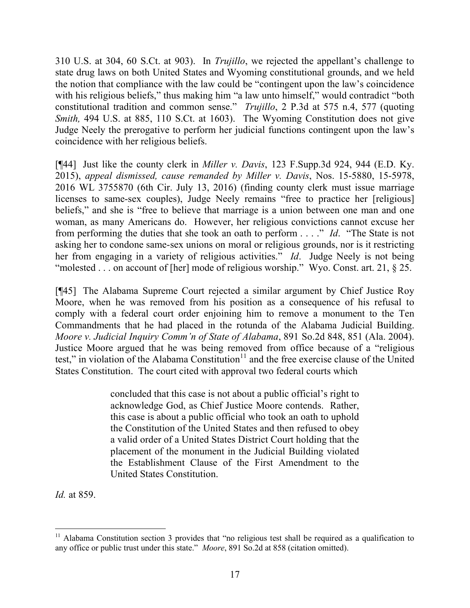310 U.S. at 304, 60 S.Ct. at 903). In *Trujillo*, we rejected the appellant's challenge to state drug laws on both United States and Wyoming constitutional grounds, and we held the notion that compliance with the law could be "contingent upon the law's coincidence with his religious beliefs," thus making him "a law unto himself," would contradict "both constitutional tradition and common sense." *Trujillo*, 2 P.3d at 575 n.4, 577 (quoting *Smith,* 494 U.S. at 885, 110 S.Ct. at 1603). The Wyoming Constitution does not give Judge Neely the prerogative to perform her judicial functions contingent upon the law's coincidence with her religious beliefs.

[¶44] Just like the county clerk in *Miller v. Davis*, 123 F.Supp.3d 924, 944 (E.D. Ky. 2015), *appeal dismissed, cause remanded by Miller v. Davis*, Nos. 15-5880, 15-5978, 2016 WL 3755870 (6th Cir. July 13, 2016) (finding county clerk must issue marriage licenses to same-sex couples), Judge Neely remains "free to practice her [religious] beliefs," and she is "free to believe that marriage is a union between one man and one woman, as many Americans do. However, her religious convictions cannot excuse her from performing the duties that she took an oath to perform . . . ." *Id*. "The State is not asking her to condone same-sex unions on moral or religious grounds, nor is it restricting her from engaging in a variety of religious activities." *Id*. Judge Neely is not being "molested . . . on account of [her] mode of religious worship." Wyo. Const. art. 21, § 25.

[¶45] The Alabama Supreme Court rejected a similar argument by Chief Justice Roy Moore, when he was removed from his position as a consequence of his refusal to comply with a federal court order enjoining him to remove a monument to the Ten Commandments that he had placed in the rotunda of the Alabama Judicial Building. *Moore v. Judicial Inquiry Comm'n of State of Alabama*, 891 So.2d 848, 851 (Ala. 2004). Justice Moore argued that he was being removed from office because of a "religious test," in violation of the Alabama Constitution $11$  and the free exercise clause of the United States Constitution. The court cited with approval two federal courts which

> concluded that this case is not about a public official's right to acknowledge God, as Chief Justice Moore contends. Rather, this case is about a public official who took an oath to uphold the Constitution of the United States and then refused to obey a valid order of a United States District Court holding that the placement of the monument in the Judicial Building violated the Establishment Clause of the First Amendment to the United States Constitution.

*Id.* at 859.

  $11$  Alabama Constitution section 3 provides that "no religious test shall be required as a qualification to any office or public trust under this state." *Moore*, 891 So.2d at 858 (citation omitted).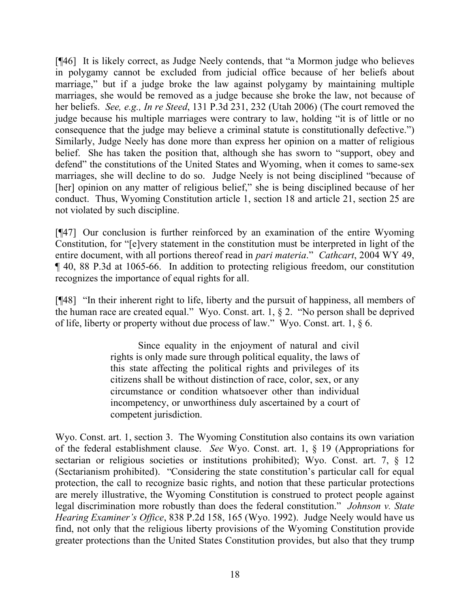[¶46] It is likely correct, as Judge Neely contends, that "a Mormon judge who believes in polygamy cannot be excluded from judicial office because of her beliefs about marriage," but if a judge broke the law against polygamy by maintaining multiple marriages, she would be removed as a judge because she broke the law, not because of her beliefs. *See, e.g., In re Steed*, 131 P.3d 231, 232 (Utah 2006) (The court removed the judge because his multiple marriages were contrary to law, holding "it is of little or no consequence that the judge may believe a criminal statute is constitutionally defective.") Similarly, Judge Neely has done more than express her opinion on a matter of religious belief. She has taken the position that, although she has sworn to "support, obey and defend" the constitutions of the United States and Wyoming, when it comes to same-sex marriages, she will decline to do so. Judge Neely is not being disciplined "because of [her] opinion on any matter of religious belief," she is being disciplined because of her conduct. Thus, Wyoming Constitution article 1, section 18 and article 21, section 25 are not violated by such discipline.

[¶47] Our conclusion is further reinforced by an examination of the entire Wyoming Constitution, for "[e]very statement in the constitution must be interpreted in light of the entire document, with all portions thereof read in *pari materia*." *Cathcart*, 2004 WY 49, ¶ 40, 88 P.3d at 1065-66. In addition to protecting religious freedom, our constitution recognizes the importance of equal rights for all.

[¶48] "In their inherent right to life, liberty and the pursuit of happiness, all members of the human race are created equal." Wyo. Const. art. 1, § 2. "No person shall be deprived of life, liberty or property without due process of law." Wyo. Const. art. 1, § 6.

> Since equality in the enjoyment of natural and civil rights is only made sure through political equality, the laws of this state affecting the political rights and privileges of its citizens shall be without distinction of race, color, sex, or any circumstance or condition whatsoever other than individual incompetency, or unworthiness duly ascertained by a court of competent jurisdiction.

Wyo. Const. art. 1, section 3. The Wyoming Constitution also contains its own variation of the federal establishment clause. *See* Wyo. Const. art. 1, § 19 (Appropriations for sectarian or religious societies or institutions prohibited); Wyo. Const. art. 7,  $\S$  12 (Sectarianism prohibited). "Considering the state constitution's particular call for equal protection, the call to recognize basic rights, and notion that these particular protections are merely illustrative, the Wyoming Constitution is construed to protect people against legal discrimination more robustly than does the federal constitution." *Johnson v. State Hearing Examiner's Office*, 838 P.2d 158, 165 (Wyo. 1992). Judge Neely would have us find, not only that the religious liberty provisions of the Wyoming Constitution provide greater protections than the United States Constitution provides, but also that they trump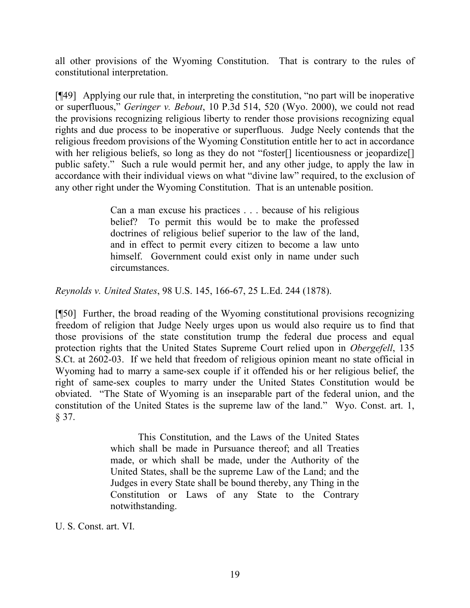all other provisions of the Wyoming Constitution. That is contrary to the rules of constitutional interpretation.

[¶49] Applying our rule that, in interpreting the constitution, "no part will be inoperative or superfluous," *Geringer v. Bebout*, 10 P.3d 514, 520 (Wyo. 2000), we could not read the provisions recognizing religious liberty to render those provisions recognizing equal rights and due process to be inoperative or superfluous. Judge Neely contends that the religious freedom provisions of the Wyoming Constitution entitle her to act in accordance with her religious beliefs, so long as they do not "foster<sup>[]</sup> licentiousness or jeopardize<sup>[]</sup> public safety." Such a rule would permit her, and any other judge, to apply the law in accordance with their individual views on what "divine law" required, to the exclusion of any other right under the Wyoming Constitution. That is an untenable position.

> Can a man excuse his practices . . . because of his religious belief? To permit this would be to make the professed doctrines of religious belief superior to the law of the land, and in effect to permit every citizen to become a law unto himself. Government could exist only in name under such circumstances.

*Reynolds v. United States*, 98 U.S. 145, 166-67, 25 L.Ed. 244 (1878).

[¶50] Further, the broad reading of the Wyoming constitutional provisions recognizing freedom of religion that Judge Neely urges upon us would also require us to find that those provisions of the state constitution trump the federal due process and equal protection rights that the United States Supreme Court relied upon in *Obergefell*, 135 S.Ct. at 2602-03. If we held that freedom of religious opinion meant no state official in Wyoming had to marry a same-sex couple if it offended his or her religious belief, the right of same-sex couples to marry under the United States Constitution would be obviated. "The State of Wyoming is an inseparable part of the federal union, and the constitution of the United States is the supreme law of the land." Wyo. Const. art. 1, § 37.

> This Constitution, and the Laws of the United States which shall be made in Pursuance thereof; and all Treaties made, or which shall be made, under the Authority of the United States, shall be the supreme Law of the Land; and the Judges in every State shall be bound thereby, any Thing in the Constitution or Laws of any State to the Contrary notwithstanding.

U. S. Const. art. VI.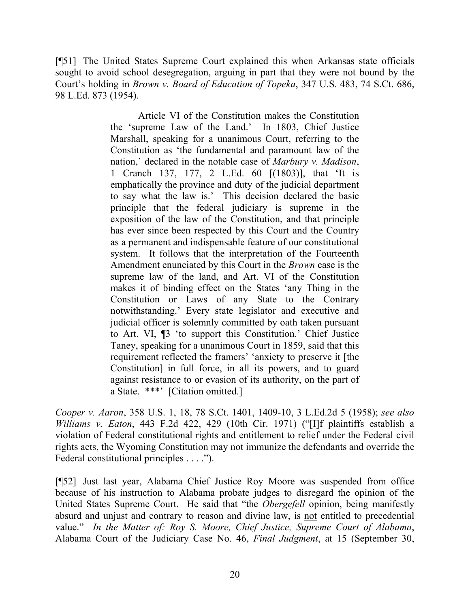[¶51] The United States Supreme Court explained this when Arkansas state officials sought to avoid school desegregation, arguing in part that they were not bound by the Court's holding in *Brown v. Board of Education of Topeka*, 347 U.S. 483, 74 S.Ct. 686, 98 L.Ed. 873 (1954).

> Article VI of the Constitution makes the Constitution the 'supreme Law of the Land.' In 1803, Chief Justice Marshall, speaking for a unanimous Court, referring to the Constitution as 'the fundamental and paramount law of the nation,' declared in the notable case of *Marbury v. Madison*, 1 Cranch 137, 177, 2 L.Ed. 60 [(1803)], that 'It is emphatically the province and duty of the judicial department to say what the law is.' This decision declared the basic principle that the federal judiciary is supreme in the exposition of the law of the Constitution, and that principle has ever since been respected by this Court and the Country as a permanent and indispensable feature of our constitutional system. It follows that the interpretation of the Fourteenth Amendment enunciated by this Court in the *Brown* case is the supreme law of the land, and Art. VI of the Constitution makes it of binding effect on the States 'any Thing in the Constitution or Laws of any State to the Contrary notwithstanding.' Every state legislator and executive and judicial officer is solemnly committed by oath taken pursuant to Art. VI, ¶3 'to support this Constitution.' Chief Justice Taney, speaking for a unanimous Court in 1859, said that this requirement reflected the framers' 'anxiety to preserve it [the Constitution] in full force, in all its powers, and to guard against resistance to or evasion of its authority, on the part of a State. \*\*\*' [Citation omitted.]

*Cooper v. Aaron*, 358 U.S. 1, 18, 78 S.Ct. 1401, 1409-10, 3 L.Ed.2d 5 (1958); *see also Williams v. Eaton*, 443 F.2d 422, 429 (10th Cir. 1971) ("[I]f plaintiffs establish a violation of Federal constitutional rights and entitlement to relief under the Federal civil rights acts, the Wyoming Constitution may not immunize the defendants and override the Federal constitutional principles . . . .").

[¶52] Just last year, Alabama Chief Justice Roy Moore was suspended from office because of his instruction to Alabama probate judges to disregard the opinion of the United States Supreme Court. He said that "the *Obergefell* opinion, being manifestly absurd and unjust and contrary to reason and divine law, is not entitled to precedential value." *In the Matter of: Roy S. Moore, Chief Justice, Supreme Court of Alabama*, Alabama Court of the Judiciary Case No. 46, *Final Judgment*, at 15 (September 30,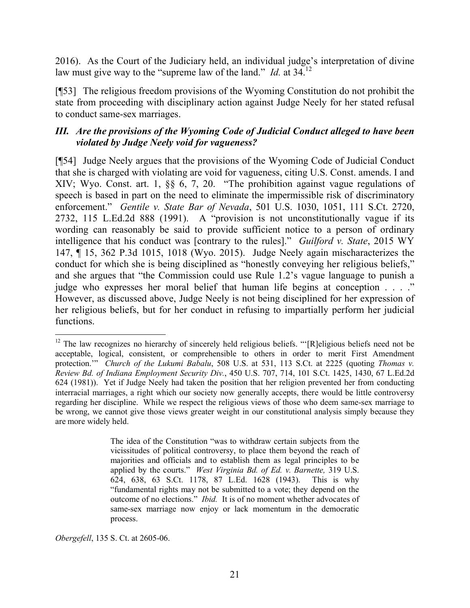2016). As the Court of the Judiciary held, an individual judge's interpretation of divine law must give way to the "supreme law of the land." *Id.* at 34.<sup>12</sup>

[¶53] The religious freedom provisions of the Wyoming Constitution do not prohibit the state from proceeding with disciplinary action against Judge Neely for her stated refusal to conduct same-sex marriages.

## *III. Are the provisions of the Wyoming Code of Judicial Conduct alleged to have been violated by Judge Neely void for vagueness?*

[¶54] Judge Neely argues that the provisions of the Wyoming Code of Judicial Conduct that she is charged with violating are void for vagueness, citing U.S. Const. amends. I and XIV; Wyo. Const. art. 1, §§ 6, 7, 20. "The prohibition against vague regulations of speech is based in part on the need to eliminate the impermissible risk of discriminatory enforcement." *Gentile v. State Bar of Nevada*, 501 U.S. 1030, 1051, 111 S.Ct. 2720, 2732, 115 L.Ed.2d 888 (1991). A "provision is not unconstitutionally vague if its wording can reasonably be said to provide sufficient notice to a person of ordinary intelligence that his conduct was [contrary to the rules]." *Guilford v. State*, 2015 WY 147, ¶ 15, 362 P.3d 1015, 1018 (Wyo. 2015). Judge Neely again mischaracterizes the conduct for which she is being disciplined as "honestly conveying her religious beliefs," and she argues that "the Commission could use Rule 1.2's vague language to punish a judge who expresses her moral belief that human life begins at conception . . . ." However, as discussed above, Judge Neely is not being disciplined for her expression of her religious beliefs, but for her conduct in refusing to impartially perform her judicial functions.

The idea of the Constitution "was to withdraw certain subjects from the vicissitudes of political controversy, to place them beyond the reach of majorities and officials and to establish them as legal principles to be applied by the courts." *West Virginia Bd. of Ed. v. Barnette,* 319 U.S. 624, 638, 63 S.Ct. 1178, 87 L.Ed. 1628 (1943). This is why "fundamental rights may not be submitted to a vote; they depend on the outcome of no elections." *Ibid.* It is of no moment whether advocates of same-sex marriage now enjoy or lack momentum in the democratic process.

*Obergefell*, 135 S. Ct. at 2605-06.

 <sup>12</sup> The law recognizes no hierarchy of sincerely held religious beliefs. "'[R]eligious beliefs need not be acceptable, logical, consistent, or comprehensible to others in order to merit First Amendment protection.'" *Church of the Lukumi Babalu*, 508 U.S. at 531, 113 S.Ct. at 2225 (quoting *Thomas v. Review Bd. of Indiana Employment Security Div.*, 450 U.S. 707, 714, 101 S.Ct. 1425, 1430, 67 L.Ed.2d 624 (1981)). Yet if Judge Neely had taken the position that her religion prevented her from conducting interracial marriages, a right which our society now generally accepts, there would be little controversy regarding her discipline. While we respect the religious views of those who deem same-sex marriage to be wrong, we cannot give those views greater weight in our constitutional analysis simply because they are more widely held.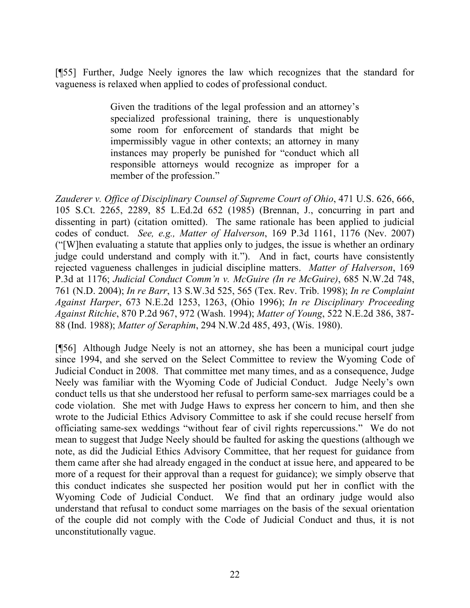[¶55] Further, Judge Neely ignores the law which recognizes that the standard for vagueness is relaxed when applied to codes of professional conduct.

> Given the traditions of the legal profession and an attorney's specialized professional training, there is unquestionably some room for enforcement of standards that might be impermissibly vague in other contexts; an attorney in many instances may properly be punished for "conduct which all responsible attorneys would recognize as improper for a member of the profession."

*Zauderer v. Office of Disciplinary Counsel of Supreme Court of Ohio*, 471 U.S. 626, 666, 105 S.Ct. 2265, 2289, 85 L.Ed.2d 652 (1985) (Brennan, J., concurring in part and dissenting in part) (citation omitted). The same rationale has been applied to judicial codes of conduct. *See, e.g., Matter of Halverson*, 169 P.3d 1161, 1176 (Nev. 2007) ("[W]hen evaluating a statute that applies only to judges, the issue is whether an ordinary judge could understand and comply with it."). And in fact, courts have consistently rejected vagueness challenges in judicial discipline matters. *Matter of Halverson*, 169 P.3d at 1176; *Judicial Conduct Comm'n v. McGuire (In re McGuire)*, 685 N.W.2d 748, 761 (N.D. 2004); *In re Barr*, 13 S.W.3d 525, 565 (Tex. Rev. Trib. 1998); *In re Complaint Against Harper*, 673 N.E.2d 1253, 1263, (Ohio 1996); *In re Disciplinary Proceeding Against Ritchie*, 870 P.2d 967, 972 (Wash. 1994); *Matter of Young*, 522 N.E.2d 386, 387- 88 (Ind. 1988); *Matter of Seraphim*, 294 N.W.2d 485, 493, (Wis. 1980).

[¶56] Although Judge Neely is not an attorney, she has been a municipal court judge since 1994, and she served on the Select Committee to review the Wyoming Code of Judicial Conduct in 2008. That committee met many times, and as a consequence, Judge Neely was familiar with the Wyoming Code of Judicial Conduct. Judge Neely's own conduct tells us that she understood her refusal to perform same-sex marriages could be a code violation. She met with Judge Haws to express her concern to him, and then she wrote to the Judicial Ethics Advisory Committee to ask if she could recuse herself from officiating same-sex weddings "without fear of civil rights repercussions." We do not mean to suggest that Judge Neely should be faulted for asking the questions (although we note, as did the Judicial Ethics Advisory Committee, that her request for guidance from them came after she had already engaged in the conduct at issue here, and appeared to be more of a request for their approval than a request for guidance); we simply observe that this conduct indicates she suspected her position would put her in conflict with the Wyoming Code of Judicial Conduct. We find that an ordinary judge would also understand that refusal to conduct some marriages on the basis of the sexual orientation of the couple did not comply with the Code of Judicial Conduct and thus, it is not unconstitutionally vague.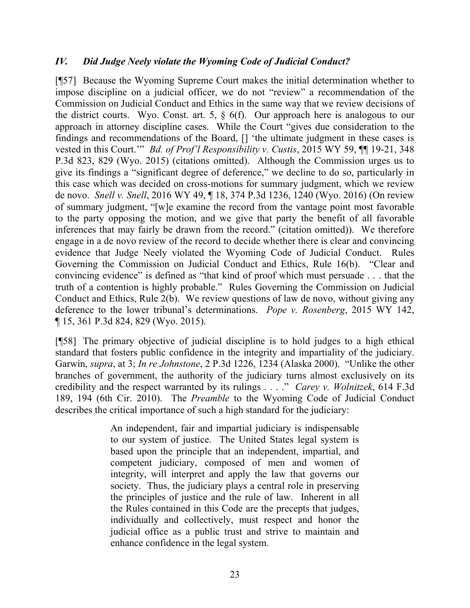## *IV. Did Judge Neely violate the Wyoming Code of Judicial Conduct?*

[¶57] Because the Wyoming Supreme Court makes the initial determination whether to impose discipline on a judicial officer, we do not "review" a recommendation of the Commission on Judicial Conduct and Ethics in the same way that we review decisions of the district courts. Wyo. Const. art. 5, § 6(f). Our approach here is analogous to our approach in attorney discipline cases. While the Court "gives due consideration to the findings and recommendations of the Board, [] 'the ultimate judgment in these cases is vested in this Court.'" *Bd. of Prof'l Responsibility v. Custis*, 2015 WY 59, ¶¶ 19-21, 348 P.3d 823, 829 (Wyo. 2015) (citations omitted). Although the Commission urges us to give its findings a "significant degree of deference," we decline to do so, particularly in this case which was decided on cross-motions for summary judgment, which we review de novo. *Snell v. Snell*, 2016 WY 49, ¶ 18, 374 P.3d 1236, 1240 (Wyo. 2016) (On review of summary judgment, "[w]e examine the record from the vantage point most favorable to the party opposing the motion, and we give that party the benefit of all favorable inferences that may fairly be drawn from the record." (citation omitted)). We therefore engage in a de novo review of the record to decide whether there is clear and convincing evidence that Judge Neely violated the Wyoming Code of Judicial Conduct. Rules Governing the Commission on Judicial Conduct and Ethics, Rule 16(b). "Clear and convincing evidence" is defined as "that kind of proof which must persuade . . . that the truth of a contention is highly probable." Rules Governing the Commission on Judicial Conduct and Ethics, Rule 2(b). We review questions of law de novo, without giving any deference to the lower tribunal's determinations. *Pope v. Rosenberg*, 2015 WY 142, ¶ 15, 361 P.3d 824, 829 (Wyo. 2015).

[¶58] The primary objective of judicial discipline is to hold judges to a high ethical standard that fosters public confidence in the integrity and impartiality of the judiciary. Garwin, *supra*, at 3; *In re Johnstone*, 2 P.3d 1226, 1234 (Alaska 2000). "Unlike the other branches of government, the authority of the judiciary turns almost exclusively on its credibility and the respect warranted by its rulings . . . ." *Carey v. Wolnitzek*, 614 F.3d 189, 194 (6th Cir. 2010). The *Preamble* to the Wyoming Code of Judicial Conduct describes the critical importance of such a high standard for the judiciary:

> An independent, fair and impartial judiciary is indispensable to our system of justice. The United States legal system is based upon the principle that an independent, impartial, and competent judiciary, composed of men and women of integrity, will interpret and apply the law that governs our society. Thus, the judiciary plays a central role in preserving the principles of justice and the rule of law. Inherent in all the Rules contained in this Code are the precepts that judges, individually and collectively, must respect and honor the judicial office as a public trust and strive to maintain and enhance confidence in the legal system.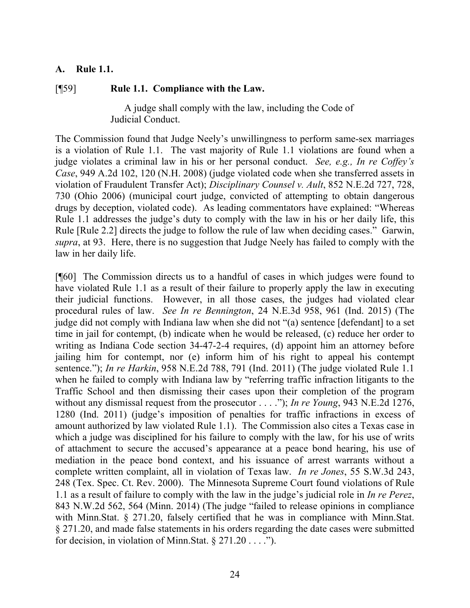#### **A. Rule 1.1.**

#### [¶59] **Rule 1.1. Compliance with the Law.**

A judge shall comply with the law, including the Code of Judicial Conduct.

The Commission found that Judge Neely's unwillingness to perform same-sex marriages is a violation of Rule 1.1. The vast majority of Rule 1.1 violations are found when a judge violates a criminal law in his or her personal conduct. *See, e.g., In re Coffey's Case*, 949 A.2d 102, 120 (N.H. 2008) (judge violated code when she transferred assets in violation of Fraudulent Transfer Act); *Disciplinary Counsel v. Ault*, 852 N.E.2d 727, 728, 730 (Ohio 2006) (municipal court judge, convicted of attempting to obtain dangerous drugs by deception, violated code). As leading commentators have explained: "Whereas Rule 1.1 addresses the judge's duty to comply with the law in his or her daily life, this Rule [Rule 2.2] directs the judge to follow the rule of law when deciding cases." Garwin, *supra*, at 93. Here, there is no suggestion that Judge Neely has failed to comply with the law in her daily life.

[¶60] The Commission directs us to a handful of cases in which judges were found to have violated Rule 1.1 as a result of their failure to properly apply the law in executing their judicial functions. However, in all those cases, the judges had violated clear procedural rules of law. *See In re Bennington*, 24 N.E.3d 958, 961 (Ind. 2015) (The judge did not comply with Indiana law when she did not "(a) sentence [defendant] to a set time in jail for contempt, (b) indicate when he would be released, (c) reduce her order to writing as Indiana Code section 34-47-2-4 requires, (d) appoint him an attorney before jailing him for contempt, nor (e) inform him of his right to appeal his contempt sentence."); *In re Harkin*, 958 N.E.2d 788, 791 (Ind. 2011) (The judge violated Rule 1.1 when he failed to comply with Indiana law by "referring traffic infraction litigants to the Traffic School and then dismissing their cases upon their completion of the program without any dismissal request from the prosecutor . . . ."); *In re Young*, 943 N.E.2d 1276, 1280 (Ind. 2011) (judge's imposition of penalties for traffic infractions in excess of amount authorized by law violated Rule 1.1). The Commission also cites a Texas case in which a judge was disciplined for his failure to comply with the law, for his use of writs of attachment to secure the accused's appearance at a peace bond hearing, his use of mediation in the peace bond context, and his issuance of arrest warrants without a complete written complaint, all in violation of Texas law. *In re Jones*, 55 S.W.3d 243, 248 (Tex. Spec. Ct. Rev. 2000). The Minnesota Supreme Court found violations of Rule 1.1 as a result of failure to comply with the law in the judge's judicial role in *In re Perez*, 843 N.W.2d 562, 564 (Minn. 2014) (The judge "failed to release opinions in compliance with Minn.Stat. § 271.20, falsely certified that he was in compliance with Minn.Stat. § 271.20, and made false statements in his orders regarding the date cases were submitted for decision, in violation of Minn. Stat.  $\S 271.20...$ ").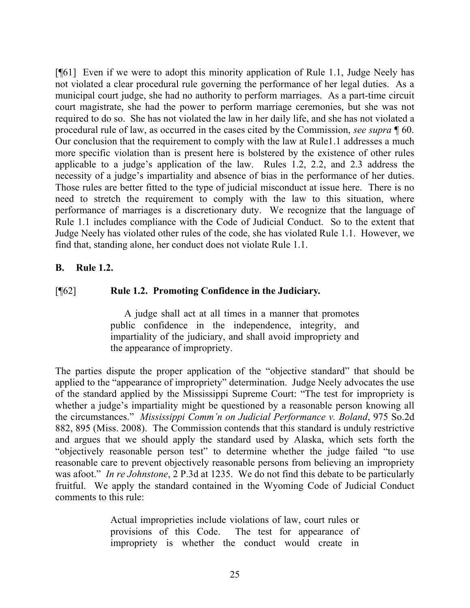[¶61] Even if we were to adopt this minority application of Rule 1.1, Judge Neely has not violated a clear procedural rule governing the performance of her legal duties. As a municipal court judge, she had no authority to perform marriages. As a part-time circuit court magistrate, she had the power to perform marriage ceremonies, but she was not required to do so. She has not violated the law in her daily life, and she has not violated a procedural rule of law, as occurred in the cases cited by the Commission, *see supra* ¶ 60. Our conclusion that the requirement to comply with the law at Rule1.1 addresses a much more specific violation than is present here is bolstered by the existence of other rules applicable to a judge's application of the law. Rules 1.2, 2.2, and 2.3 address the necessity of a judge's impartiality and absence of bias in the performance of her duties. Those rules are better fitted to the type of judicial misconduct at issue here. There is no need to stretch the requirement to comply with the law to this situation, where performance of marriages is a discretionary duty. We recognize that the language of Rule 1.1 includes compliance with the Code of Judicial Conduct. So to the extent that Judge Neely has violated other rules of the code, she has violated Rule 1.1. However, we find that, standing alone, her conduct does not violate Rule 1.1.

## **B. Rule 1.2.**

### [¶62] **Rule 1.2. Promoting Confidence in the Judiciary***.*

A judge shall act at all times in a manner that promotes public confidence in the independence, integrity, and impartiality of the judiciary, and shall avoid impropriety and the appearance of impropriety.

The parties dispute the proper application of the "objective standard" that should be applied to the "appearance of impropriety" determination. Judge Neely advocates the use of the standard applied by the Mississippi Supreme Court: "The test for impropriety is whether a judge's impartiality might be questioned by a reasonable person knowing all the circumstances." *Mississippi Comm'n on Judicial Performance v. Boland*, 975 So.2d 882, 895 (Miss. 2008). The Commission contends that this standard is unduly restrictive and argues that we should apply the standard used by Alaska, which sets forth the "objectively reasonable person test" to determine whether the judge failed "to use reasonable care to prevent objectively reasonable persons from believing an impropriety was afoot." *In re Johnstone*, 2 P.3d at 1235. We do not find this debate to be particularly fruitful. We apply the standard contained in the Wyoming Code of Judicial Conduct comments to this rule:

> Actual improprieties include violations of law, court rules or provisions of this Code. The test for appearance of impropriety is whether the conduct would create in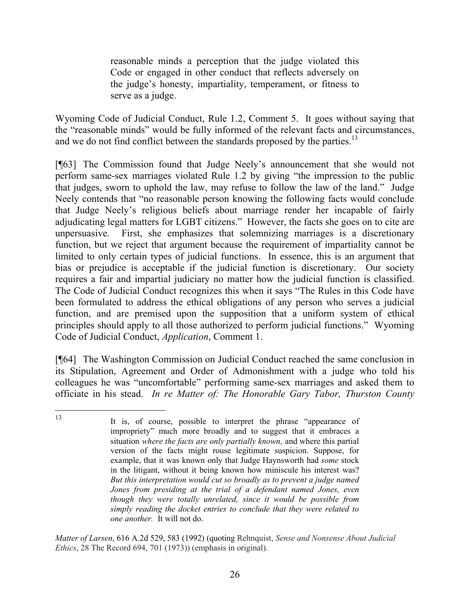reasonable minds a perception that the judge violated this Code or engaged in other conduct that reflects adversely on the judge's honesty, impartiality, temperament, or fitness to serve as a judge.

Wyoming Code of Judicial Conduct, Rule 1.2, Comment 5. It goes without saying that the "reasonable minds" would be fully informed of the relevant facts and circumstances, and we do not find conflict between the standards proposed by the parties.<sup>13</sup>

[¶63] The Commission found that Judge Neely's announcement that she would not perform same-sex marriages violated Rule 1.2 by giving "the impression to the public that judges, sworn to uphold the law, may refuse to follow the law of the land." Judge Neely contends that "no reasonable person knowing the following facts would conclude that Judge Neely's religious beliefs about marriage render her incapable of fairly adjudicating legal matters for LGBT citizens." However, the facts she goes on to cite are unpersuasive. First, she emphasizes that solemnizing marriages is a discretionary function, but we reject that argument because the requirement of impartiality cannot be limited to only certain types of judicial functions. In essence, this is an argument that bias or prejudice is acceptable if the judicial function is discretionary. Our society requires a fair and impartial judiciary no matter how the judicial function is classified. The Code of Judicial Conduct recognizes this when it says "The Rules in this Code have been formulated to address the ethical obligations of any person who serves a judicial function, and are premised upon the supposition that a uniform system of ethical principles should apply to all those authorized to perform judicial functions." Wyoming Code of Judicial Conduct, *Application*, Comment 1.

[¶64] The Washington Commission on Judicial Conduct reached the same conclusion in its Stipulation, Agreement and Order of Admonishment with a judge who told his colleagues he was "uncomfortable" performing same-sex marriages and asked them to officiate in his stead. *In re Matter of: The Honorable Gary Tabor, Thurston County* 

*Matter of Larsen*, 616 A.2d 529, 583 (1992) (quoting Rehnquist, *Sense and Nonsense About Judicial Ethics*, 28 The Record 694, 701 (1973)) (emphasis in original).

 It is, of course, possible to interpret the phrase "appearance of impropriety" much more broadly and to suggest that it embraces a situation *where the facts are only partially known,* and where this partial version of the facts might rouse legitimate suspicion. Suppose, for example, that it was known only that Judge Haynsworth had *some* stock in the litigant, without it being known how miniscule his interest was? *But this interpretation would cut so broadly as to prevent a judge named Jones from presiding at the trial of a defendant named Jones, even though they were totally unrelated, since it would be possible from simply reading the docket entries to conclude that they were related to one another.* It will not do.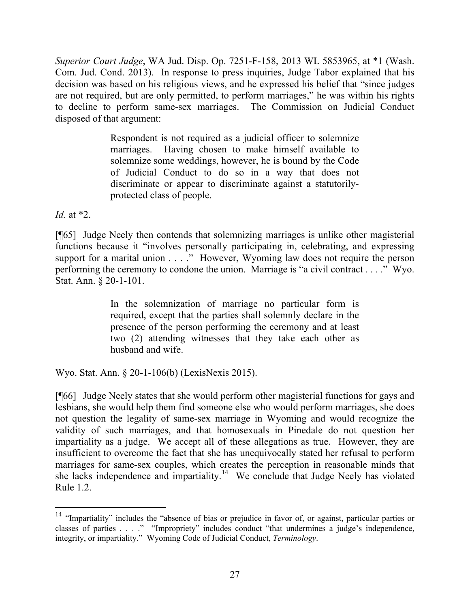*Superior Court Judge*, WA Jud. Disp. Op. 7251-F-158, 2013 WL 5853965, at \*1 (Wash. Com. Jud. Cond. 2013). In response to press inquiries, Judge Tabor explained that his decision was based on his religious views, and he expressed his belief that "since judges are not required, but are only permitted, to perform marriages," he was within his rights to decline to perform same-sex marriages. The Commission on Judicial Conduct disposed of that argument:

> Respondent is not required as a judicial officer to solemnize marriages. Having chosen to make himself available to solemnize some weddings, however, he is bound by the Code of Judicial Conduct to do so in a way that does not discriminate or appear to discriminate against a statutorilyprotected class of people.

*Id.* at \*2.

[¶65] Judge Neely then contends that solemnizing marriages is unlike other magisterial functions because it "involves personally participating in, celebrating, and expressing support for a marital union . . . ." However, Wyoming law does not require the person performing the ceremony to condone the union. Marriage is "a civil contract . . . ." Wyo. Stat. Ann. § 20-1-101.

> In the solemnization of marriage no particular form is required, except that the parties shall solemnly declare in the presence of the person performing the ceremony and at least two (2) attending witnesses that they take each other as husband and wife.

Wyo. Stat. Ann. § 20-1-106(b) (LexisNexis 2015).

[¶66] Judge Neely states that she would perform other magisterial functions for gays and lesbians, she would help them find someone else who would perform marriages, she does not question the legality of same-sex marriage in Wyoming and would recognize the validity of such marriages, and that homosexuals in Pinedale do not question her impartiality as a judge. We accept all of these allegations as true. However, they are insufficient to overcome the fact that she has unequivocally stated her refusal to perform marriages for same-sex couples, which creates the perception in reasonable minds that she lacks independence and impartiality.<sup>14</sup> We conclude that Judge Neely has violated Rule 1.2.

<sup>&</sup>lt;sup>14</sup> "Impartiality" includes the "absence of bias or prejudice in favor of, or against, particular parties or classes of parties . . . ." "Impropriety" includes conduct "that undermines a judge's independence, integrity, or impartiality." Wyoming Code of Judicial Conduct, *Terminology*.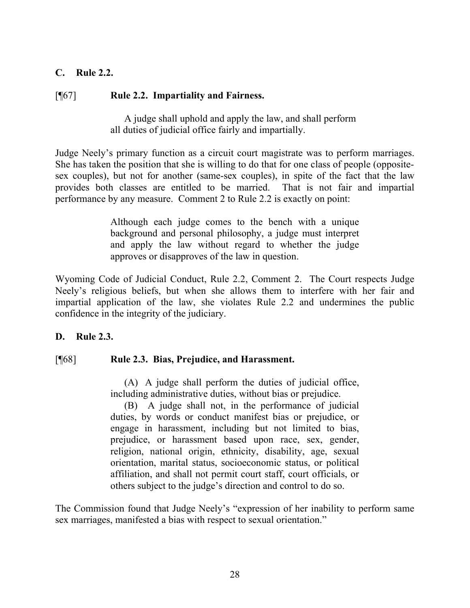## **C. Rule 2.2.**

### [¶67] **Rule 2.2. Impartiality and Fairness.**

A judge shall uphold and apply the law, and shall perform all duties of judicial office fairly and impartially.

Judge Neely's primary function as a circuit court magistrate was to perform marriages. She has taken the position that she is willing to do that for one class of people (oppositesex couples), but not for another (same-sex couples), in spite of the fact that the law provides both classes are entitled to be married. That is not fair and impartial performance by any measure. Comment 2 to Rule 2.2 is exactly on point:

> Although each judge comes to the bench with a unique background and personal philosophy, a judge must interpret and apply the law without regard to whether the judge approves or disapproves of the law in question.

Wyoming Code of Judicial Conduct, Rule 2.2, Comment 2. The Court respects Judge Neely's religious beliefs, but when she allows them to interfere with her fair and impartial application of the law, she violates Rule 2.2 and undermines the public confidence in the integrity of the judiciary.

#### **D. Rule 2.3.**

## [¶68] **Rule 2.3. Bias, Prejudice, and Harassment.**

(A) A judge shall perform the duties of judicial office, including administrative duties, without bias or prejudice.

(B) A judge shall not, in the performance of judicial duties, by words or conduct manifest bias or prejudice, or engage in harassment, including but not limited to bias, prejudice, or harassment based upon race, sex, gender, religion, national origin, ethnicity, disability, age, sexual orientation, marital status, socioeconomic status, or political affiliation, and shall not permit court staff, court officials, or others subject to the judge's direction and control to do so.

The Commission found that Judge Neely's "expression of her inability to perform same sex marriages, manifested a bias with respect to sexual orientation."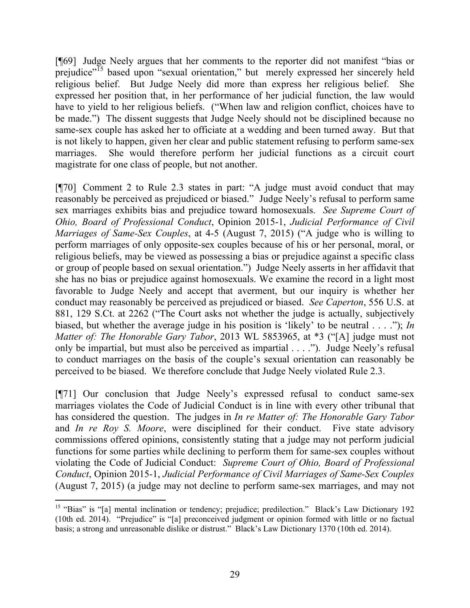[¶69] Judge Neely argues that her comments to the reporter did not manifest "bias or prejudice"<sup>15</sup> based upon "sexual orientation," but merely expressed her sincerely held religious belief. But Judge Neely did more than express her religious belief. She expressed her position that, in her performance of her judicial function, the law would have to yield to her religious beliefs. ("When law and religion conflict, choices have to be made.") The dissent suggests that Judge Neely should not be disciplined because no same-sex couple has asked her to officiate at a wedding and been turned away. But that is not likely to happen, given her clear and public statement refusing to perform same-sex marriages. She would therefore perform her judicial functions as a circuit court magistrate for one class of people, but not another.

[¶70] Comment 2 to Rule 2.3 states in part: "A judge must avoid conduct that may reasonably be perceived as prejudiced or biased." Judge Neely's refusal to perform same sex marriages exhibits bias and prejudice toward homosexuals. *See Supreme Court of Ohio, Board of Professional Conduct*, Opinion 2015-1, *Judicial Performance of Civil Marriages of Same-Sex Couples*, at 4-5 (August 7, 2015) ("A judge who is willing to perform marriages of only opposite-sex couples because of his or her personal, moral, or religious beliefs, may be viewed as possessing a bias or prejudice against a specific class or group of people based on sexual orientation.") Judge Neely asserts in her affidavit that she has no bias or prejudice against homosexuals. We examine the record in a light most favorable to Judge Neely and accept that averment, but our inquiry is whether her conduct may reasonably be perceived as prejudiced or biased. *See Caperton*, 556 U.S. at 881, 129 S.Ct. at 2262 ("The Court asks not whether the judge is actually, subjectively biased, but whether the average judge in his position is 'likely' to be neutral . . . ."); *In Matter of: The Honorable Gary Tabor*, 2013 WL 5853965, at \*3 ("[A] judge must not only be impartial, but must also be perceived as impartial . . . ."). Judge Neely's refusal to conduct marriages on the basis of the couple's sexual orientation can reasonably be perceived to be biased. We therefore conclude that Judge Neely violated Rule 2.3.

[¶71] Our conclusion that Judge Neely's expressed refusal to conduct same-sex marriages violates the Code of Judicial Conduct is in line with every other tribunal that has considered the question. The judges in *In re Matter of: The Honorable Gary Tabor* and *In re Roy S. Moore*, were disciplined for their conduct.Five state advisory commissions offered opinions, consistently stating that a judge may not perform judicial functions for some parties while declining to perform them for same-sex couples without violating the Code of Judicial Conduct: *Supreme Court of Ohio, Board of Professional Conduct*, Opinion 2015-1, *Judicial Performance of Civil Marriages of Same-Sex Couples* (August 7, 2015) (a judge may not decline to perform same-sex marriages, and may not

 <sup>15</sup> "Bias" is "[a] mental inclination or tendency; prejudice; predilection." Black's Law Dictionary 192 (10th ed. 2014). "Prejudice" is "[a] preconceived judgment or opinion formed with little or no factual basis; a strong and unreasonable dislike or distrust." Black's Law Dictionary 1370 (10th ed. 2014).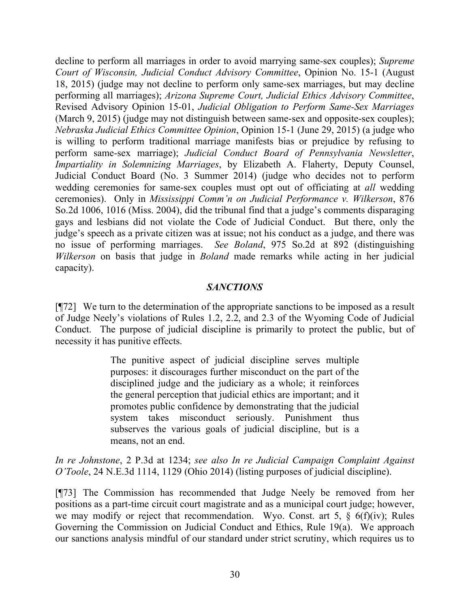decline to perform all marriages in order to avoid marrying same-sex couples); *Supreme Court of Wisconsin, Judicial Conduct Advisory Committee*, Opinion No. 15-1 (August 18, 2015) (judge may not decline to perform only same-sex marriages, but may decline performing all marriages); *Arizona Supreme Court, Judicial Ethics Advisory Committee*, Revised Advisory Opinion 15-01, *Judicial Obligation to Perform Same-Sex Marriages* (March 9, 2015) (judge may not distinguish between same-sex and opposite-sex couples); *Nebraska Judicial Ethics Committee Opinion*, Opinion 15-1 (June 29, 2015) (a judge who is willing to perform traditional marriage manifests bias or prejudice by refusing to perform same-sex marriage); *Judicial Conduct Board of Pennsylvania Newsletter*, *Impartiality in Solemnizing Marriages*, by Elizabeth A. Flaherty, Deputy Counsel, Judicial Conduct Board (No. 3 Summer 2014) (judge who decides not to perform wedding ceremonies for same-sex couples must opt out of officiating at *all* wedding ceremonies). Only in *Mississippi Comm'n on Judicial Performance v. Wilkerson*, 876 So.2d 1006, 1016 (Miss. 2004), did the tribunal find that a judge's comments disparaging gays and lesbians did not violate the Code of Judicial Conduct. But there, only the judge's speech as a private citizen was at issue; not his conduct as a judge, and there was no issue of performing marriages. *See Boland*, 975 So.2d at 892 (distinguishing *Wilkerson* on basis that judge in *Boland* made remarks while acting in her judicial capacity).

### *SANCTIONS*

[¶72] We turn to the determination of the appropriate sanctions to be imposed as a result of Judge Neely's violations of Rules 1.2, 2.2, and 2.3 of the Wyoming Code of Judicial Conduct. The purpose of judicial discipline is primarily to protect the public, but of necessity it has punitive effects.

> The punitive aspect of judicial discipline serves multiple purposes: it discourages further misconduct on the part of the disciplined judge and the judiciary as a whole; it reinforces the general perception that judicial ethics are important; and it promotes public confidence by demonstrating that the judicial system takes misconduct seriously. Punishment thus subserves the various goals of judicial discipline, but is a means, not an end.

*In re Johnstone*, 2 P.3d at 1234; *see also In re Judicial Campaign Complaint Against O'Toole*, 24 N.E.3d 1114, 1129 (Ohio 2014) (listing purposes of judicial discipline).

[¶73] The Commission has recommended that Judge Neely be removed from her positions as a part-time circuit court magistrate and as a municipal court judge; however, we may modify or reject that recommendation. Wyo. Const. art 5,  $\frac{6}{5}$  6(f)(iv); Rules Governing the Commission on Judicial Conduct and Ethics, Rule 19(a). We approach our sanctions analysis mindful of our standard under strict scrutiny, which requires us to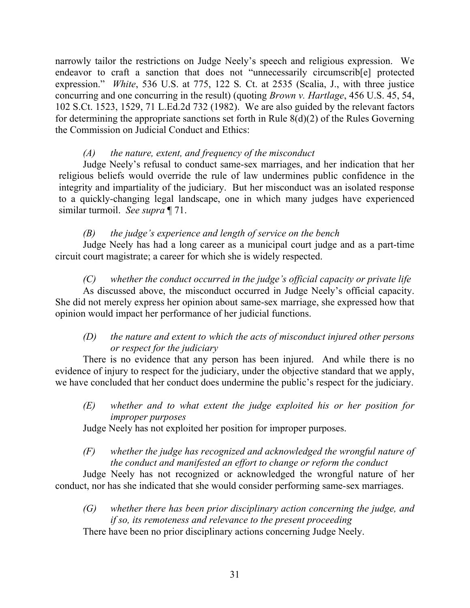narrowly tailor the restrictions on Judge Neely's speech and religious expression. We endeavor to craft a sanction that does not "unnecessarily circumscrib[e] protected expression." *White*, 536 U.S. at 775, 122 S. Ct. at 2535 (Scalia, J., with three justice concurring and one concurring in the result) (quoting *Brown v. Hartlage*, 456 U.S. 45, 54, 102 S.Ct. 1523, 1529, 71 L.Ed.2d 732 (1982). We are also guided by the relevant factors for determining the appropriate sanctions set forth in Rule  $8(d)(2)$  of the Rules Governing the Commission on Judicial Conduct and Ethics:

### *(A) the nature, extent, and frequency of the misconduct*

Judge Neely's refusal to conduct same-sex marriages, and her indication that her religious beliefs would override the rule of law undermines public confidence in the integrity and impartiality of the judiciary. But her misconduct was an isolated response to a quickly-changing legal landscape, one in which many judges have experienced similar turmoil. *See supra* ¶ 71.

## *(B) the judge's experience and length of service on the bench*

Judge Neely has had a long career as a municipal court judge and as a part-time circuit court magistrate; a career for which she is widely respected.

*(C) whether the conduct occurred in the judge's official capacity or private life* As discussed above, the misconduct occurred in Judge Neely's official capacity. She did not merely express her opinion about same-sex marriage, she expressed how that opinion would impact her performance of her judicial functions.

## *(D) the nature and extent to which the acts of misconduct injured other persons or respect for the judiciary*

There is no evidence that any person has been injured. And while there is no evidence of injury to respect for the judiciary, under the objective standard that we apply, we have concluded that her conduct does undermine the public's respect for the judiciary.

*(E) whether and to what extent the judge exploited his or her position for improper purposes*

Judge Neely has not exploited her position for improper purposes.

*(F) whether the judge has recognized and acknowledged the wrongful nature of the conduct and manifested an effort to change or reform the conduct*

Judge Neely has not recognized or acknowledged the wrongful nature of her conduct, nor has she indicated that she would consider performing same-sex marriages.

*(G) whether there has been prior disciplinary action concerning the judge, and if so, its remoteness and relevance to the present proceeding* There have been no prior disciplinary actions concerning Judge Neely.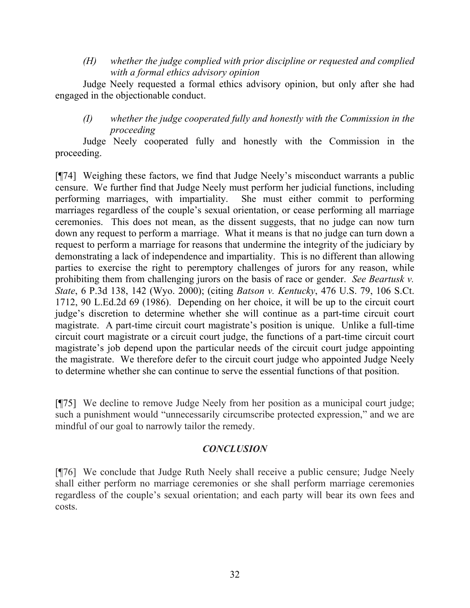*(H) whether the judge complied with prior discipline or requested and complied with a formal ethics advisory opinion*

Judge Neely requested a formal ethics advisory opinion, but only after she had engaged in the objectionable conduct.

*(I) whether the judge cooperated fully and honestly with the Commission in the proceeding*

Judge Neely cooperated fully and honestly with the Commission in the proceeding.

[¶74] Weighing these factors, we find that Judge Neely's misconduct warrants a public censure. We further find that Judge Neely must perform her judicial functions, including performing marriages, with impartiality. She must either commit to performing marriages regardless of the couple's sexual orientation, or cease performing all marriage ceremonies. This does not mean, as the dissent suggests, that no judge can now turn down any request to perform a marriage. What it means is that no judge can turn down a request to perform a marriage for reasons that undermine the integrity of the judiciary by demonstrating a lack of independence and impartiality. This is no different than allowing parties to exercise the right to peremptory challenges of jurors for any reason, while prohibiting them from challenging jurors on the basis of race or gender. *See Beartusk v. State*, 6 P.3d 138, 142 (Wyo. 2000); (citing *Batson v. Kentucky*, 476 U.S. 79, 106 S.Ct. 1712, 90 L.Ed.2d 69 (1986). Depending on her choice, it will be up to the circuit court judge's discretion to determine whether she will continue as a part-time circuit court magistrate. A part-time circuit court magistrate's position is unique. Unlike a full-time circuit court magistrate or a circuit court judge, the functions of a part-time circuit court magistrate's job depend upon the particular needs of the circuit court judge appointing the magistrate. We therefore defer to the circuit court judge who appointed Judge Neely to determine whether she can continue to serve the essential functions of that position.

[¶75] We decline to remove Judge Neely from her position as a municipal court judge; such a punishment would "unnecessarily circumscribe protected expression," and we are mindful of our goal to narrowly tailor the remedy.

## *CONCLUSION*

[¶76] We conclude that Judge Ruth Neely shall receive a public censure; Judge Neely shall either perform no marriage ceremonies or she shall perform marriage ceremonies regardless of the couple's sexual orientation; and each party will bear its own fees and costs.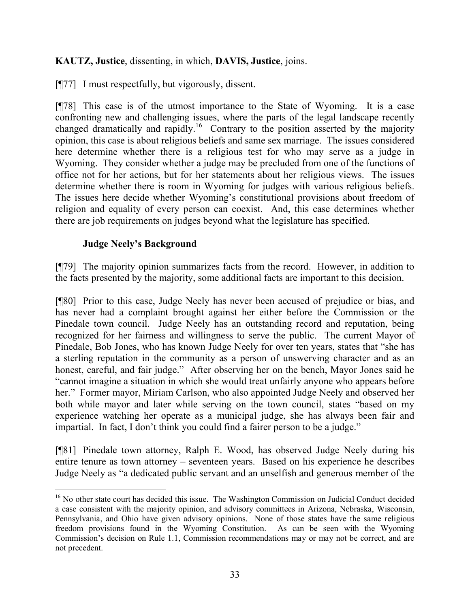## **KAUTZ, Justice**, dissenting, in which, **DAVIS, Justice**, joins.

[¶77] I must respectfully, but vigorously, dissent.

[¶78] This case is of the utmost importance to the State of Wyoming. It is a case confronting new and challenging issues, where the parts of the legal landscape recently changed dramatically and rapidly.<sup>16</sup> Contrary to the position asserted by the majority opinion, this case is about religious beliefs and same sex marriage. The issues considered here determine whether there is a religious test for who may serve as a judge in Wyoming. They consider whether a judge may be precluded from one of the functions of office not for her actions, but for her statements about her religious views. The issues determine whether there is room in Wyoming for judges with various religious beliefs. The issues here decide whether Wyoming's constitutional provisions about freedom of religion and equality of every person can coexist. And, this case determines whether there are job requirements on judges beyond what the legislature has specified.

### **Judge Neely's Background**

[¶79] The majority opinion summarizes facts from the record. However, in addition to the facts presented by the majority, some additional facts are important to this decision.

[¶80] Prior to this case, Judge Neely has never been accused of prejudice or bias, and has never had a complaint brought against her either before the Commission or the Pinedale town council. Judge Neely has an outstanding record and reputation, being recognized for her fairness and willingness to serve the public. The current Mayor of Pinedale, Bob Jones, who has known Judge Neely for over ten years, states that "she has a sterling reputation in the community as a person of unswerving character and as an honest, careful, and fair judge." After observing her on the bench, Mayor Jones said he "cannot imagine a situation in which she would treat unfairly anyone who appears before her." Former mayor, Miriam Carlson, who also appointed Judge Neely and observed her both while mayor and later while serving on the town council, states "based on my experience watching her operate as a municipal judge, she has always been fair and impartial. In fact, I don't think you could find a fairer person to be a judge."

[¶81] Pinedale town attorney, Ralph E. Wood, has observed Judge Neely during his entire tenure as town attorney – seventeen years. Based on his experience he describes Judge Neely as "a dedicated public servant and an unselfish and generous member of the

 <sup>16</sup> No other state court has decided this issue. The Washington Commission on Judicial Conduct decided a case consistent with the majority opinion, and advisory committees in Arizona, Nebraska, Wisconsin, Pennsylvania, and Ohio have given advisory opinions. None of those states have the same religious freedom provisions found in the Wyoming Constitution. As can be seen with the Wyoming Commission's decision on Rule 1.1, Commission recommendations may or may not be correct, and are not precedent.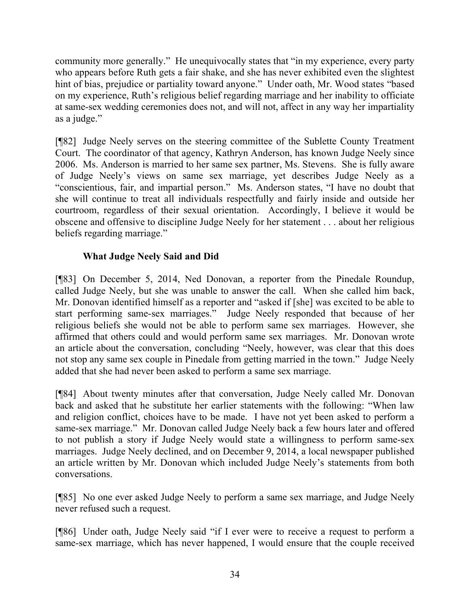community more generally." He unequivocally states that "in my experience, every party who appears before Ruth gets a fair shake, and she has never exhibited even the slightest hint of bias, prejudice or partiality toward anyone." Under oath, Mr. Wood states "based on my experience, Ruth's religious belief regarding marriage and her inability to officiate at same-sex wedding ceremonies does not, and will not, affect in any way her impartiality as a judge."

[¶82] Judge Neely serves on the steering committee of the Sublette County Treatment Court. The coordinator of that agency, Kathryn Anderson, has known Judge Neely since 2006. Ms. Anderson is married to her same sex partner, Ms. Stevens. She is fully aware of Judge Neely's views on same sex marriage, yet describes Judge Neely as a "conscientious, fair, and impartial person." Ms. Anderson states, "I have no doubt that she will continue to treat all individuals respectfully and fairly inside and outside her courtroom, regardless of their sexual orientation. Accordingly, I believe it would be obscene and offensive to discipline Judge Neely for her statement . . . about her religious beliefs regarding marriage."

# **What Judge Neely Said and Did**

[¶83] On December 5, 2014, Ned Donovan, a reporter from the Pinedale Roundup, called Judge Neely, but she was unable to answer the call. When she called him back, Mr. Donovan identified himself as a reporter and "asked if [she] was excited to be able to start performing same-sex marriages." Judge Neely responded that because of her religious beliefs she would not be able to perform same sex marriages. However, she affirmed that others could and would perform same sex marriages. Mr. Donovan wrote an article about the conversation, concluding "Neely, however, was clear that this does not stop any same sex couple in Pinedale from getting married in the town." Judge Neely added that she had never been asked to perform a same sex marriage.

[¶84] About twenty minutes after that conversation, Judge Neely called Mr. Donovan back and asked that he substitute her earlier statements with the following: "When law and religion conflict, choices have to be made. I have not yet been asked to perform a same-sex marriage." Mr. Donovan called Judge Neely back a few hours later and offered to not publish a story if Judge Neely would state a willingness to perform same-sex marriages. Judge Neely declined, and on December 9, 2014, a local newspaper published an article written by Mr. Donovan which included Judge Neely's statements from both conversations.

[¶85] No one ever asked Judge Neely to perform a same sex marriage, and Judge Neely never refused such a request.

[¶86] Under oath, Judge Neely said "if I ever were to receive a request to perform a same-sex marriage, which has never happened, I would ensure that the couple received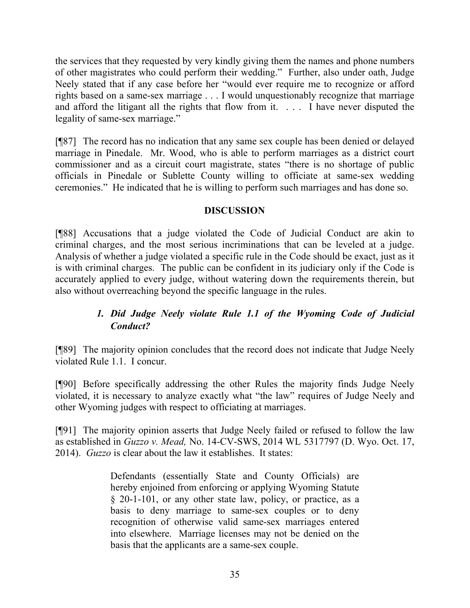the services that they requested by very kindly giving them the names and phone numbers of other magistrates who could perform their wedding." Further, also under oath, Judge Neely stated that if any case before her "would ever require me to recognize or afford rights based on a same-sex marriage . . . I would unquestionably recognize that marriage and afford the litigant all the rights that flow from it. . . . I have never disputed the legality of same-sex marriage."

[¶87] The record has no indication that any same sex couple has been denied or delayed marriage in Pinedale. Mr. Wood, who is able to perform marriages as a district court commissioner and as a circuit court magistrate, states "there is no shortage of public officials in Pinedale or Sublette County willing to officiate at same-sex wedding ceremonies." He indicated that he is willing to perform such marriages and has done so.

## **DISCUSSION**

[¶88] Accusations that a judge violated the Code of Judicial Conduct are akin to criminal charges, and the most serious incriminations that can be leveled at a judge. Analysis of whether a judge violated a specific rule in the Code should be exact, just as it is with criminal charges. The public can be confident in its judiciary only if the Code is accurately applied to every judge, without watering down the requirements therein, but also without overreaching beyond the specific language in the rules.

# *1. Did Judge Neely violate Rule 1.1 of the Wyoming Code of Judicial Conduct?*

[¶89] The majority opinion concludes that the record does not indicate that Judge Neely violated Rule 1.1. I concur.

[¶90] Before specifically addressing the other Rules the majority finds Judge Neely violated, it is necessary to analyze exactly what "the law" requires of Judge Neely and other Wyoming judges with respect to officiating at marriages.

[¶91] The majority opinion asserts that Judge Neely failed or refused to follow the law as established in *Guzzo v. Mead,* No. 14-CV-SWS, 2014 WL 5317797 (D. Wyo. Oct. 17, 2014). *Guzzo* is clear about the law it establishes. It states:

> Defendants (essentially State and County Officials) are hereby enjoined from enforcing or applying Wyoming Statute § 20-1-101, or any other state law, policy, or practice, as a basis to deny marriage to same-sex couples or to deny recognition of otherwise valid same-sex marriages entered into elsewhere. Marriage licenses may not be denied on the basis that the applicants are a same-sex couple.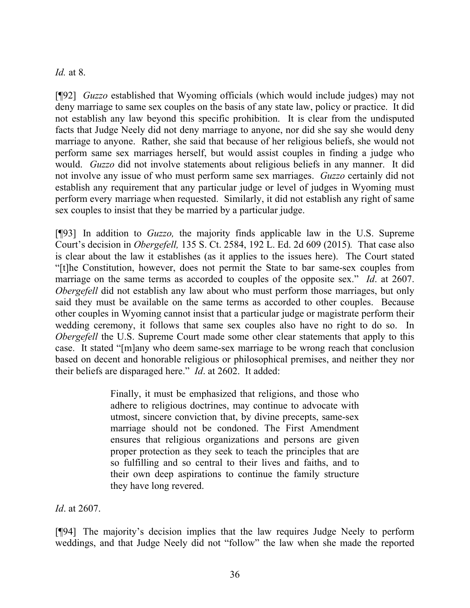## *Id.* at 8.

[¶92] *Guzzo* established that Wyoming officials (which would include judges) may not deny marriage to same sex couples on the basis of any state law, policy or practice. It did not establish any law beyond this specific prohibition. It is clear from the undisputed facts that Judge Neely did not deny marriage to anyone, nor did she say she would deny marriage to anyone. Rather, she said that because of her religious beliefs, she would not perform same sex marriages herself, but would assist couples in finding a judge who would. *Guzzo* did not involve statements about religious beliefs in any manner. It did not involve any issue of who must perform same sex marriages. *Guzzo* certainly did not establish any requirement that any particular judge or level of judges in Wyoming must perform every marriage when requested. Similarly, it did not establish any right of same sex couples to insist that they be married by a particular judge.

[¶93] In addition to *Guzzo,* the majority finds applicable law in the U.S. Supreme Court's decision in *Obergefell,* 135 S. Ct. 2584, 192 L. Ed. 2d 609 (2015)*.* That case also is clear about the law it establishes (as it applies to the issues here). The Court stated "[t]he Constitution, however, does not permit the State to bar same-sex couples from marriage on the same terms as accorded to couples of the opposite sex." *Id*. at 2607. *Obergefell* did not establish any law about who must perform those marriages, but only said they must be available on the same terms as accorded to other couples. Because other couples in Wyoming cannot insist that a particular judge or magistrate perform their wedding ceremony, it follows that same sex couples also have no right to do so. In *Obergefell* the U.S. Supreme Court made some other clear statements that apply to this case. It stated "[m]any who deem same-sex marriage to be wrong reach that conclusion based on decent and honorable religious or philosophical premises, and neither they nor their beliefs are disparaged here." *Id*. at 2602. It added:

> Finally, it must be emphasized that religions, and those who adhere to religious doctrines, may continue to advocate with utmost, sincere conviction that, by divine precepts, same-sex marriage should not be condoned. The First Amendment ensures that religious organizations and persons are given proper protection as they seek to teach the principles that are so fulfilling and so central to their lives and faiths, and to their own deep aspirations to continue the family structure they have long revered.

*Id*. at 2607.

[¶94] The majority's decision implies that the law requires Judge Neely to perform weddings, and that Judge Neely did not "follow" the law when she made the reported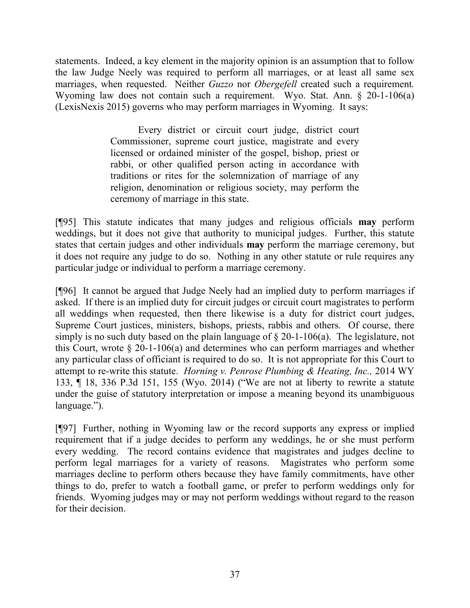statements. Indeed, a key element in the majority opinion is an assumption that to follow the law Judge Neely was required to perform all marriages, or at least all same sex marriages, when requested. Neither *Guzzo* nor *Obergefell* created such a requirement*.*  Wyoming law does not contain such a requirement. Wyo. Stat. Ann. § 20-1-106(a) (LexisNexis 2015) governs who may perform marriages in Wyoming. It says:

> Every district or circuit court judge, district court Commissioner, supreme court justice, magistrate and every licensed or ordained minister of the gospel, bishop, priest or rabbi, or other qualified person acting in accordance with traditions or rites for the solemnization of marriage of any religion, denomination or religious society, may perform the ceremony of marriage in this state.

[¶95] This statute indicates that many judges and religious officials **may** perform weddings, but it does not give that authority to municipal judges. Further, this statute states that certain judges and other individuals **may** perform the marriage ceremony, but it does not require any judge to do so. Nothing in any other statute or rule requires any particular judge or individual to perform a marriage ceremony.

[¶96] It cannot be argued that Judge Neely had an implied duty to perform marriages if asked. If there is an implied duty for circuit judges or circuit court magistrates to perform all weddings when requested, then there likewise is a duty for district court judges, Supreme Court justices, ministers, bishops, priests, rabbis and others. Of course, there simply is no such duty based on the plain language of § 20-1-106(a). The legislature, not this Court, wrote  $\S 20$ -1-106(a) and determines who can perform marriages and whether any particular class of officiant is required to do so. It is not appropriate for this Court to attempt to re-write this statute. *Horning v. Penrose Plumbing & Heating, Inc.,* 2014 WY 133, ¶ 18, 336 P.3d 151, 155 (Wyo. 2014) ("We are not at liberty to rewrite a statute under the guise of statutory interpretation or impose a meaning beyond its unambiguous language.").

[¶97] Further, nothing in Wyoming law or the record supports any express or implied requirement that if a judge decides to perform any weddings, he or she must perform every wedding. The record contains evidence that magistrates and judges decline to perform legal marriages for a variety of reasons. Magistrates who perform some marriages decline to perform others because they have family commitments, have other things to do, prefer to watch a football game, or prefer to perform weddings only for friends. Wyoming judges may or may not perform weddings without regard to the reason for their decision.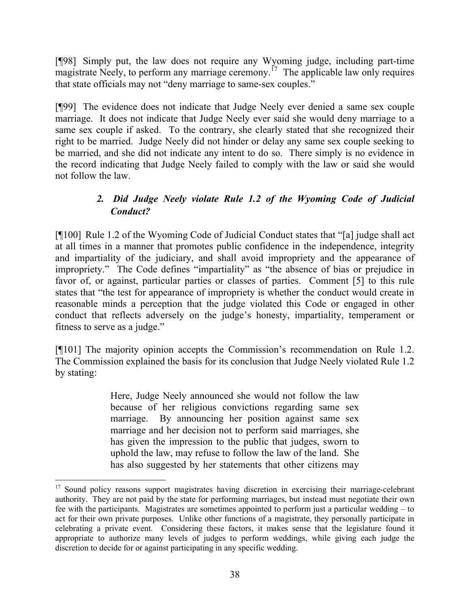[¶98] Simply put, the law does not require any Wyoming judge, including part-time  $m$ agistrate Neely, to perform any marriage ceremony.<sup>17</sup> The applicable law only requires that state officials may not "deny marriage to same-sex couples."

[¶99] The evidence does not indicate that Judge Neely ever denied a same sex couple marriage. It does not indicate that Judge Neely ever said she would deny marriage to a same sex couple if asked. To the contrary, she clearly stated that she recognized their right to be married. Judge Neely did not hinder or delay any same sex couple seeking to be married, and she did not indicate any intent to do so. There simply is no evidence in the record indicating that Judge Neely failed to comply with the law or said she would not follow the law.

# *2. Did Judge Neely violate Rule 1.2 of the Wyoming Code of Judicial Conduct?*

[¶100] Rule 1.2 of the Wyoming Code of Judicial Conduct states that "[a] judge shall act at all times in a manner that promotes public confidence in the independence, integrity and impartiality of the judiciary, and shall avoid impropriety and the appearance of impropriety." The Code defines "impartiality" as "the absence of bias or prejudice in favor of, or against, particular parties or classes of parties. Comment [5] to this rule states that "the test for appearance of impropriety is whether the conduct would create in reasonable minds a perception that the judge violated this Code or engaged in other conduct that reflects adversely on the judge's honesty, impartiality, temperament or fitness to serve as a judge."

[¶101] The majority opinion accepts the Commission's recommendation on Rule 1.2. The Commission explained the basis for its conclusion that Judge Neely violated Rule 1.2 by stating:

> Here, Judge Neely announced she would not follow the law because of her religious convictions regarding same sex marriage. By announcing her position against same sex marriage and her decision not to perform said marriages, she has given the impression to the public that judges, sworn to uphold the law, may refuse to follow the law of the land. She has also suggested by her statements that other citizens may

<sup>&</sup>lt;sup>17</sup> Sound policy reasons support magistrates having discretion in exercising their marriage-celebrant authority. They are not paid by the state for performing marriages, but instead must negotiate their own fee with the participants. Magistrates are sometimes appointed to perform just a particular wedding – to act for their own private purposes. Unlike other functions of a magistrate, they personally participate in celebrating a private event. Considering these factors, it makes sense that the legislature found it appropriate to authorize many levels of judges to perform weddings, while giving each judge the discretion to decide for or against participating in any specific wedding.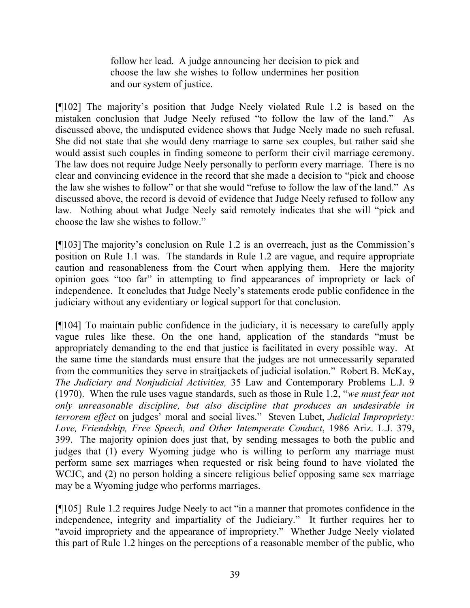follow her lead. A judge announcing her decision to pick and choose the law she wishes to follow undermines her position and our system of justice.

[¶102] The majority's position that Judge Neely violated Rule 1.2 is based on the mistaken conclusion that Judge Neely refused "to follow the law of the land." As discussed above, the undisputed evidence shows that Judge Neely made no such refusal. She did not state that she would deny marriage to same sex couples, but rather said she would assist such couples in finding someone to perform their civil marriage ceremony. The law does not require Judge Neely personally to perform every marriage. There is no clear and convincing evidence in the record that she made a decision to "pick and choose the law she wishes to follow" or that she would "refuse to follow the law of the land." As discussed above, the record is devoid of evidence that Judge Neely refused to follow any law. Nothing about what Judge Neely said remotely indicates that she will "pick and choose the law she wishes to follow."

[¶103] The majority's conclusion on Rule 1.2 is an overreach, just as the Commission's position on Rule 1.1 was. The standards in Rule 1.2 are vague, and require appropriate caution and reasonableness from the Court when applying them. Here the majority opinion goes "too far" in attempting to find appearances of impropriety or lack of independence. It concludes that Judge Neely's statements erode public confidence in the judiciary without any evidentiary or logical support for that conclusion.

[¶104] To maintain public confidence in the judiciary, it is necessary to carefully apply vague rules like these. On the one hand, application of the standards "must be appropriately demanding to the end that justice is facilitated in every possible way. At the same time the standards must ensure that the judges are not unnecessarily separated from the communities they serve in straitjackets of judicial isolation." Robert B. McKay, *The Judiciary and Nonjudicial Activities,* 35 Law and Contemporary Problems L.J. 9 (1970). When the rule uses vague standards, such as those in Rule 1.2, "*we must fear not only unreasonable discipline, but also discipline that produces an undesirable in terrorem effect* on judges' moral and social lives." Steven Lubet, *Judicial Impropriety: Love, Friendship, Free Speech, and Other Intemperate Conduct*, 1986 Ariz. L.J. 379, 399. The majority opinion does just that, by sending messages to both the public and judges that (1) every Wyoming judge who is willing to perform any marriage must perform same sex marriages when requested or risk being found to have violated the WCJC, and (2) no person holding a sincere religious belief opposing same sex marriage may be a Wyoming judge who performs marriages.

[¶105] Rule 1.2 requires Judge Neely to act "in a manner that promotes confidence in the independence, integrity and impartiality of the Judiciary." It further requires her to "avoid impropriety and the appearance of impropriety." Whether Judge Neely violated this part of Rule 1.2 hinges on the perceptions of a reasonable member of the public, who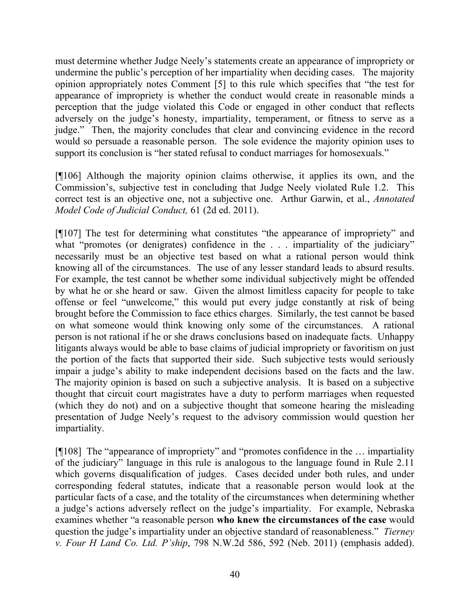must determine whether Judge Neely's statements create an appearance of impropriety or undermine the public's perception of her impartiality when deciding cases. The majority opinion appropriately notes Comment [5] to this rule which specifies that "the test for appearance of impropriety is whether the conduct would create in reasonable minds a perception that the judge violated this Code or engaged in other conduct that reflects adversely on the judge's honesty, impartiality, temperament, or fitness to serve as a judge." Then, the majority concludes that clear and convincing evidence in the record would so persuade a reasonable person. The sole evidence the majority opinion uses to support its conclusion is "her stated refusal to conduct marriages for homosexuals."

[¶106] Although the majority opinion claims otherwise, it applies its own, and the Commission's, subjective test in concluding that Judge Neely violated Rule 1.2. This correct test is an objective one, not a subjective one. Arthur Garwin, et al., *Annotated Model Code of Judicial Conduct,* 61 (2d ed. 2011).

[¶107] The test for determining what constitutes "the appearance of impropriety" and what "promotes (or denigrates) confidence in the . . . impartiality of the judiciary" necessarily must be an objective test based on what a rational person would think knowing all of the circumstances. The use of any lesser standard leads to absurd results. For example, the test cannot be whether some individual subjectively might be offended by what he or she heard or saw. Given the almost limitless capacity for people to take offense or feel "unwelcome," this would put every judge constantly at risk of being brought before the Commission to face ethics charges. Similarly, the test cannot be based on what someone would think knowing only some of the circumstances. A rational person is not rational if he or she draws conclusions based on inadequate facts. Unhappy litigants always would be able to base claims of judicial impropriety or favoritism on just the portion of the facts that supported their side. Such subjective tests would seriously impair a judge's ability to make independent decisions based on the facts and the law. The majority opinion is based on such a subjective analysis. It is based on a subjective thought that circuit court magistrates have a duty to perform marriages when requested (which they do not) and on a subjective thought that someone hearing the misleading presentation of Judge Neely's request to the advisory commission would question her impartiality.

[¶108] The "appearance of impropriety" and "promotes confidence in the … impartiality of the judiciary" language in this rule is analogous to the language found in Rule 2.11 which governs disqualification of judges. Cases decided under both rules, and under corresponding federal statutes, indicate that a reasonable person would look at the particular facts of a case, and the totality of the circumstances when determining whether a judge's actions adversely reflect on the judge's impartiality. For example, Nebraska examines whether "a reasonable person **who knew the circumstances of the case** would question the judge's impartiality under an objective standard of reasonableness." *Tierney v. Four H Land Co. Ltd. P'ship*, 798 N.W.2d 586, 592 (Neb. 2011) (emphasis added).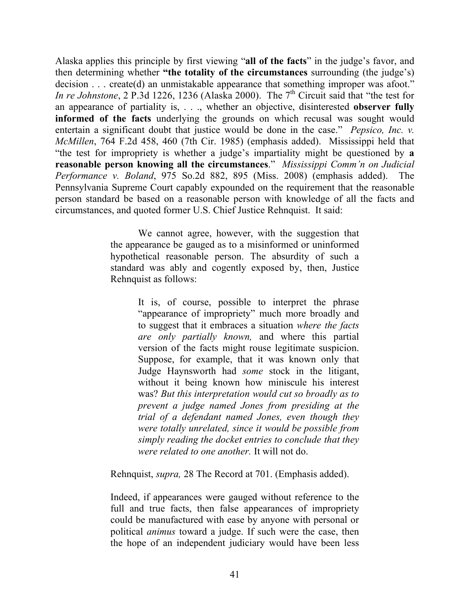Alaska applies this principle by first viewing "**all of the facts**" in the judge's favor, and then determining whether **"the totality of the circumstances** surrounding (the judge's) decision . . . create(d) an unmistakable appearance that something improper was afoot." *In re Johnstone*, 2 P.3d 1226, 1236 (Alaska 2000). The 7<sup>th</sup> Circuit said that "the test for an appearance of partiality is, . . ., whether an objective, disinterested **observer fully informed of the facts** underlying the grounds on which recusal was sought would entertain a significant doubt that justice would be done in the case." *Pepsico, Inc. v. McMillen*, 764 F.2d 458, 460 (7th Cir. 1985) (emphasis added). Mississippi held that "the test for impropriety is whether a judge's impartiality might be questioned by **a reasonable person knowing all the circumstances**." *Mississippi Comm'n on Judicial Performance v. Boland*, 975 So.2d 882, 895 (Miss. 2008) (emphasis added). The Pennsylvania Supreme Court capably expounded on the requirement that the reasonable person standard be based on a reasonable person with knowledge of all the facts and circumstances, and quoted former U.S. Chief Justice Rehnquist. It said:

> We cannot agree, however, with the suggestion that the appearance be gauged as to a misinformed or uninformed hypothetical reasonable person. The absurdity of such a standard was ably and cogently exposed by, then, Justice Rehnquist as follows:

> > It is, of course, possible to interpret the phrase "appearance of impropriety" much more broadly and to suggest that it embraces a situation *where the facts are only partially known,* and where this partial version of the facts might rouse legitimate suspicion. Suppose, for example, that it was known only that Judge Haynsworth had *some* stock in the litigant, without it being known how miniscule his interest was? *But this interpretation would cut so broadly as to prevent a judge named Jones from presiding at the trial of a defendant named Jones, even though they were totally unrelated, since it would be possible from simply reading the docket entries to conclude that they were related to one another.* It will not do.

Rehnquist, *supra,* 28 The Record at 701. (Emphasis added).

Indeed, if appearances were gauged without reference to the full and true facts, then false appearances of impropriety could be manufactured with ease by anyone with personal or political *animus* toward a judge. If such were the case, then the hope of an independent judiciary would have been less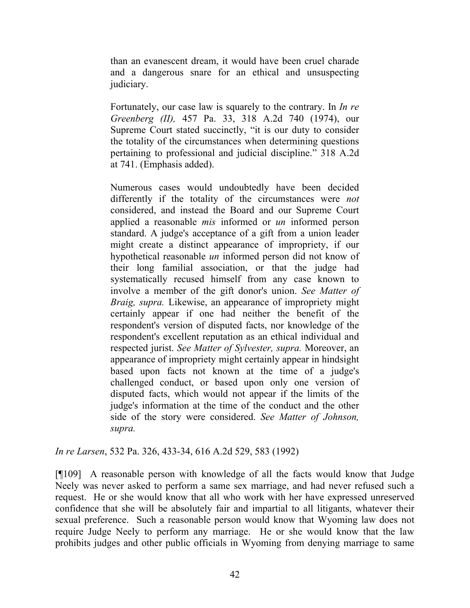than an evanescent dream, it would have been cruel charade and a dangerous snare for an ethical and unsuspecting judiciary.

Fortunately, our case law is squarely to the contrary. In *In re Greenberg (II),* 457 Pa. 33, 318 A.2d 740 (1974), our Supreme Court stated succinctly, "it is our duty to consider the totality of the circumstances when determining questions pertaining to professional and judicial discipline." 318 A.2d at 741. (Emphasis added).

Numerous cases would undoubtedly have been decided differently if the totality of the circumstances were *not* considered, and instead the Board and our Supreme Court applied a reasonable *mis* informed or *un* informed person standard. A judge's acceptance of a gift from a union leader might create a distinct appearance of impropriety, if our hypothetical reasonable *un* informed person did not know of their long familial association, or that the judge had systematically recused himself from any case known to involve a member of the gift donor's union. *See Matter of Braig, supra.* Likewise, an appearance of impropriety might certainly appear if one had neither the benefit of the respondent's version of disputed facts, nor knowledge of the respondent's excellent reputation as an ethical individual and respected jurist. *See Matter of Sylvester, supra.* Moreover, an appearance of impropriety might certainly appear in hindsight based upon facts not known at the time of a judge's challenged conduct, or based upon only one version of disputed facts, which would not appear if the limits of the judge's information at the time of the conduct and the other side of the story were considered. *See Matter of Johnson, supra.* 

*In re Larsen*, 532 Pa. 326, 433-34, 616 A.2d 529, 583 (1992)

[¶109] A reasonable person with knowledge of all the facts would know that Judge Neely was never asked to perform a same sex marriage, and had never refused such a request. He or she would know that all who work with her have expressed unreserved confidence that she will be absolutely fair and impartial to all litigants, whatever their sexual preference. Such a reasonable person would know that Wyoming law does not require Judge Neely to perform any marriage. He or she would know that the law prohibits judges and other public officials in Wyoming from denying marriage to same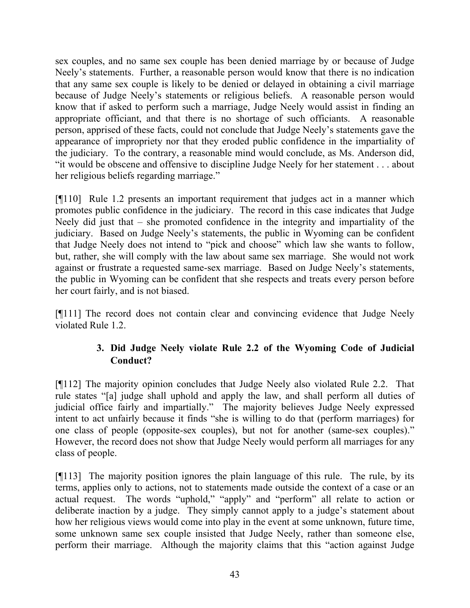sex couples, and no same sex couple has been denied marriage by or because of Judge Neely's statements. Further, a reasonable person would know that there is no indication that any same sex couple is likely to be denied or delayed in obtaining a civil marriage because of Judge Neely's statements or religious beliefs. A reasonable person would know that if asked to perform such a marriage, Judge Neely would assist in finding an appropriate officiant, and that there is no shortage of such officiants. A reasonable person, apprised of these facts, could not conclude that Judge Neely's statements gave the appearance of impropriety nor that they eroded public confidence in the impartiality of the judiciary. To the contrary, a reasonable mind would conclude, as Ms. Anderson did, "it would be obscene and offensive to discipline Judge Neely for her statement . . . about her religious beliefs regarding marriage."

[¶110] Rule 1.2 presents an important requirement that judges act in a manner which promotes public confidence in the judiciary. The record in this case indicates that Judge Neely did just that – she promoted confidence in the integrity and impartiality of the judiciary. Based on Judge Neely's statements, the public in Wyoming can be confident that Judge Neely does not intend to "pick and choose" which law she wants to follow, but, rather, she will comply with the law about same sex marriage. She would not work against or frustrate a requested same-sex marriage. Based on Judge Neely's statements, the public in Wyoming can be confident that she respects and treats every person before her court fairly, and is not biased.

[¶111] The record does not contain clear and convincing evidence that Judge Neely violated Rule 1.2.

# **3. Did Judge Neely violate Rule 2.2 of the Wyoming Code of Judicial Conduct?**

[¶112] The majority opinion concludes that Judge Neely also violated Rule 2.2. That rule states "[a] judge shall uphold and apply the law, and shall perform all duties of judicial office fairly and impartially." The majority believes Judge Neely expressed intent to act unfairly because it finds "she is willing to do that (perform marriages) for one class of people (opposite-sex couples), but not for another (same-sex couples)." However, the record does not show that Judge Neely would perform all marriages for any class of people.

[¶113] The majority position ignores the plain language of this rule. The rule, by its terms, applies only to actions, not to statements made outside the context of a case or an actual request. The words "uphold," "apply" and "perform" all relate to action or deliberate inaction by a judge. They simply cannot apply to a judge's statement about how her religious views would come into play in the event at some unknown, future time, some unknown same sex couple insisted that Judge Neely, rather than someone else, perform their marriage. Although the majority claims that this "action against Judge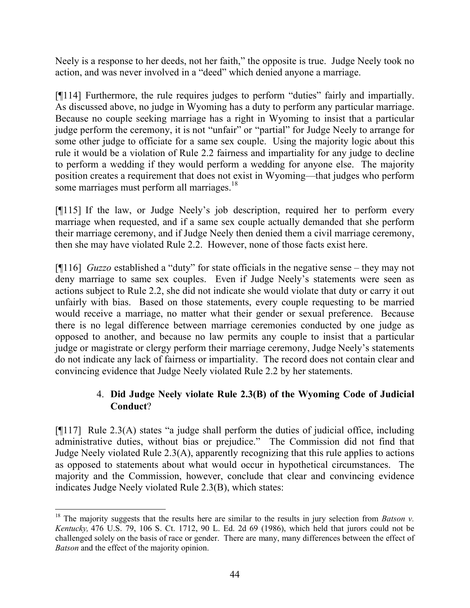Neely is a response to her deeds, not her faith," the opposite is true. Judge Neely took no action, and was never involved in a "deed" which denied anyone a marriage.

[¶114] Furthermore, the rule requires judges to perform "duties" fairly and impartially. As discussed above, no judge in Wyoming has a duty to perform any particular marriage. Because no couple seeking marriage has a right in Wyoming to insist that a particular judge perform the ceremony, it is not "unfair" or "partial" for Judge Neely to arrange for some other judge to officiate for a same sex couple. Using the majority logic about this rule it would be a violation of Rule 2.2 fairness and impartiality for any judge to decline to perform a wedding if they would perform a wedding for anyone else. The majority position creates a requirement that does not exist in Wyoming—that judges who perform some marriages must perform all marriages.<sup>18</sup>

[¶115] If the law, or Judge Neely's job description, required her to perform every marriage when requested, and if a same sex couple actually demanded that she perform their marriage ceremony, and if Judge Neely then denied them a civil marriage ceremony, then she may have violated Rule 2.2. However, none of those facts exist here.

[¶116] *Guzzo* established a "duty" for state officials in the negative sense – they may not deny marriage to same sex couples. Even if Judge Neely's statements were seen as actions subject to Rule 2.2, she did not indicate she would violate that duty or carry it out unfairly with bias. Based on those statements, every couple requesting to be married would receive a marriage, no matter what their gender or sexual preference. Because there is no legal difference between marriage ceremonies conducted by one judge as opposed to another, and because no law permits any couple to insist that a particular judge or magistrate or clergy perform their marriage ceremony, Judge Neely's statements do not indicate any lack of fairness or impartiality. The record does not contain clear and convincing evidence that Judge Neely violated Rule 2.2 by her statements.

# 4. **Did Judge Neely violate Rule 2.3(B) of the Wyoming Code of Judicial Conduct**?

[¶117] Rule 2.3(A) states "a judge shall perform the duties of judicial office, including administrative duties, without bias or prejudice." The Commission did not find that Judge Neely violated Rule 2.3(A), apparently recognizing that this rule applies to actions as opposed to statements about what would occur in hypothetical circumstances. The majority and the Commission, however, conclude that clear and convincing evidence indicates Judge Neely violated Rule 2.3(B), which states:

 <sup>18</sup> The majority suggests that the results here are similar to the results in jury selection from *Batson v*. *Kentucky,* 476 U.S. 79, 106 S. Ct. 1712, 90 L. Ed. 2d 69 (1986), which held that jurors could not be challenged solely on the basis of race or gender. There are many, many differences between the effect of *Batson* and the effect of the majority opinion.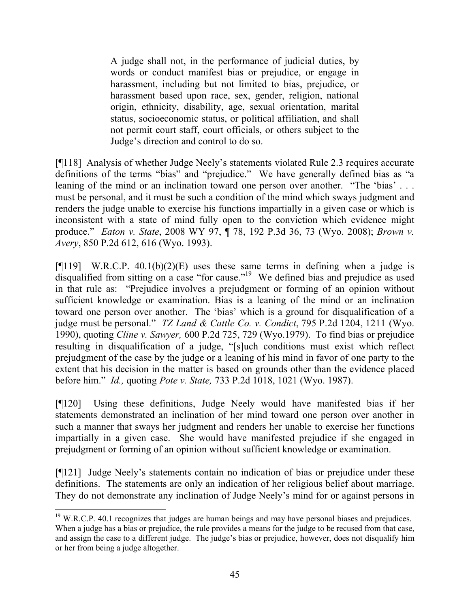A judge shall not, in the performance of judicial duties, by words or conduct manifest bias or prejudice, or engage in harassment, including but not limited to bias, prejudice, or harassment based upon race, sex, gender, religion, national origin, ethnicity, disability, age, sexual orientation, marital status, socioeconomic status, or political affiliation, and shall not permit court staff, court officials, or others subject to the Judge's direction and control to do so.

[¶118] Analysis of whether Judge Neely's statements violated Rule 2.3 requires accurate definitions of the terms "bias" and "prejudice." We have generally defined bias as "a leaning of the mind or an inclination toward one person over another. "The 'bias' ... must be personal, and it must be such a condition of the mind which sways judgment and renders the judge unable to exercise his functions impartially in a given case or which is inconsistent with a state of mind fully open to the conviction which evidence might produce." *Eaton v. State*, 2008 WY 97, ¶ 78, 192 P.3d 36, 73 (Wyo. 2008); *Brown v. Avery*, 850 P.2d 612, 616 (Wyo. 1993).

 $[119]$  W.R.C.P. 40.1(b)(2)(E) uses these same terms in defining when a judge is disqualified from sitting on a case "for cause."<sup>19</sup> We defined bias and prejudice as used in that rule as: "Prejudice involves a prejudgment or forming of an opinion without sufficient knowledge or examination. Bias is a leaning of the mind or an inclination toward one person over another. The 'bias' which is a ground for disqualification of a judge must be personal." *TZ Land & Cattle Co. v. Condict*, 795 P.2d 1204, 1211 (Wyo. 1990), quoting *Cline v. Sawyer,* 600 P.2d 725, 729 (Wyo.1979). To find bias or prejudice resulting in disqualification of a judge, "[s]uch conditions must exist which reflect prejudgment of the case by the judge or a leaning of his mind in favor of one party to the extent that his decision in the matter is based on grounds other than the evidence placed before him." *Id.,* quoting *Pote v. State,* 733 P.2d 1018, 1021 (Wyo. 1987).

[¶120] Using these definitions, Judge Neely would have manifested bias if her statements demonstrated an inclination of her mind toward one person over another in such a manner that sways her judgment and renders her unable to exercise her functions impartially in a given case. She would have manifested prejudice if she engaged in prejudgment or forming of an opinion without sufficient knowledge or examination.

[¶121] Judge Neely's statements contain no indication of bias or prejudice under these definitions. The statements are only an indication of her religious belief about marriage. They do not demonstrate any inclination of Judge Neely's mind for or against persons in

 $19$  W.R.C.P. 40.1 recognizes that judges are human beings and may have personal biases and prejudices. When a judge has a bias or prejudice, the rule provides a means for the judge to be recused from that case, and assign the case to a different judge. The judge's bias or prejudice, however, does not disqualify him or her from being a judge altogether.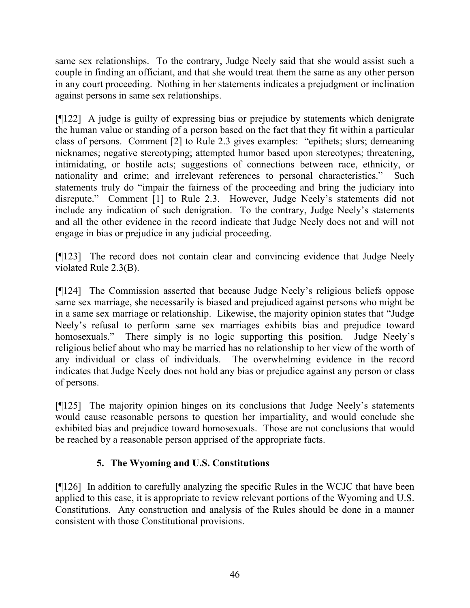same sex relationships. To the contrary, Judge Neely said that she would assist such a couple in finding an officiant, and that she would treat them the same as any other person in any court proceeding. Nothing in her statements indicates a prejudgment or inclination against persons in same sex relationships.

[¶122] A judge is guilty of expressing bias or prejudice by statements which denigrate the human value or standing of a person based on the fact that they fit within a particular class of persons. Comment [2] to Rule 2.3 gives examples: "epithets; slurs; demeaning nicknames; negative stereotyping; attempted humor based upon stereotypes; threatening, intimidating, or hostile acts; suggestions of connections between race, ethnicity, or nationality and crime; and irrelevant references to personal characteristics." Such statements truly do "impair the fairness of the proceeding and bring the judiciary into disrepute." Comment [1] to Rule 2.3. However, Judge Neely's statements did not include any indication of such denigration. To the contrary, Judge Neely's statements and all the other evidence in the record indicate that Judge Neely does not and will not engage in bias or prejudice in any judicial proceeding.

[¶123] The record does not contain clear and convincing evidence that Judge Neely violated Rule 2.3(B).

[¶124] The Commission asserted that because Judge Neely's religious beliefs oppose same sex marriage, she necessarily is biased and prejudiced against persons who might be in a same sex marriage or relationship. Likewise, the majority opinion states that "Judge Neely's refusal to perform same sex marriages exhibits bias and prejudice toward homosexuals." There simply is no logic supporting this position. Judge Neely's religious belief about who may be married has no relationship to her view of the worth of any individual or class of individuals. The overwhelming evidence in the record indicates that Judge Neely does not hold any bias or prejudice against any person or class of persons.

[¶125] The majority opinion hinges on its conclusions that Judge Neely's statements would cause reasonable persons to question her impartiality, and would conclude she exhibited bias and prejudice toward homosexuals. Those are not conclusions that would be reached by a reasonable person apprised of the appropriate facts.

## **5. The Wyoming and U.S. Constitutions**

[¶126] In addition to carefully analyzing the specific Rules in the WCJC that have been applied to this case, it is appropriate to review relevant portions of the Wyoming and U.S. Constitutions. Any construction and analysis of the Rules should be done in a manner consistent with those Constitutional provisions.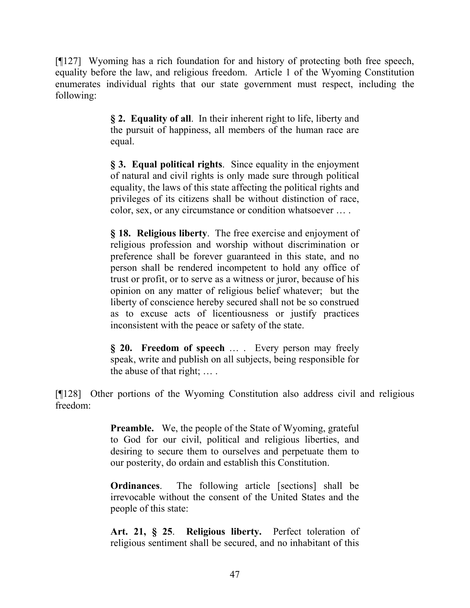[¶127] Wyoming has a rich foundation for and history of protecting both free speech, equality before the law, and religious freedom. Article 1 of the Wyoming Constitution enumerates individual rights that our state government must respect, including the following:

> **§ 2. Equality of all**. In their inherent right to life, liberty and the pursuit of happiness, all members of the human race are equal.

> **§ 3. Equal political rights**. Since equality in the enjoyment of natural and civil rights is only made sure through political equality, the laws of this state affecting the political rights and privileges of its citizens shall be without distinction of race, color, sex, or any circumstance or condition whatsoever … .

> **§ 18. Religious liberty**. The free exercise and enjoyment of religious profession and worship without discrimination or preference shall be forever guaranteed in this state, and no person shall be rendered incompetent to hold any office of trust or profit, or to serve as a witness or juror, because of his opinion on any matter of religious belief whatever; but the liberty of conscience hereby secured shall not be so construed as to excuse acts of licentiousness or justify practices inconsistent with the peace or safety of the state.

> **§ 20. Freedom of speech** … . Every person may freely speak, write and publish on all subjects, being responsible for the abuse of that right; … .

[¶128] Other portions of the Wyoming Constitution also address civil and religious freedom:

> **Preamble.** We, the people of the State of Wyoming, grateful to God for our civil, political and religious liberties, and desiring to secure them to ourselves and perpetuate them to our posterity, do ordain and establish this Constitution.

> **Ordinances**. The following article [sections] shall be irrevocable without the consent of the United States and the people of this state:

> **Art. 21, § 25**. **Religious liberty.** Perfect toleration of religious sentiment shall be secured, and no inhabitant of this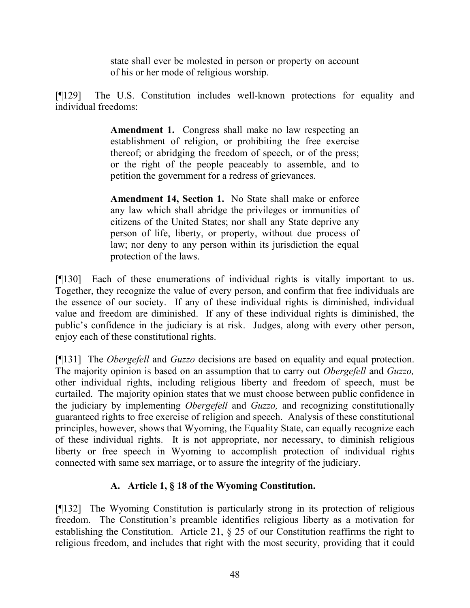state shall ever be molested in person or property on account of his or her mode of religious worship.

[¶129] The U.S. Constitution includes well-known protections for equality and individual freedoms:

> **Amendment 1.** Congress shall make no law respecting an establishment of religion, or prohibiting the free exercise thereof; or abridging the freedom of speech, or of the press; or the right of the people peaceably to assemble, and to petition the government for a redress of grievances.

> **Amendment 14, Section 1.** No State shall make or enforce any law which shall abridge the privileges or immunities of citizens of the United States; nor shall any State deprive any person of life, liberty, or property, without due process of law; nor deny to any person within its jurisdiction the equal protection of the laws.

[¶130] Each of these enumerations of individual rights is vitally important to us. Together, they recognize the value of every person, and confirm that free individuals are the essence of our society. If any of these individual rights is diminished, individual value and freedom are diminished. If any of these individual rights is diminished, the public's confidence in the judiciary is at risk. Judges, along with every other person, enjoy each of these constitutional rights.

[¶131] The *Obergefell* and *Guzzo* decisions are based on equality and equal protection. The majority opinion is based on an assumption that to carry out *Obergefell* and *Guzzo,* other individual rights, including religious liberty and freedom of speech, must be curtailed. The majority opinion states that we must choose between public confidence in the judiciary by implementing *Obergefell* and *Guzzo,* and recognizing constitutionally guaranteed rights to free exercise of religion and speech. Analysis of these constitutional principles, however, shows that Wyoming, the Equality State, can equally recognize each of these individual rights. It is not appropriate, nor necessary, to diminish religious liberty or free speech in Wyoming to accomplish protection of individual rights connected with same sex marriage, or to assure the integrity of the judiciary.

## **A. Article 1, § 18 of the Wyoming Constitution.**

[¶132] The Wyoming Constitution is particularly strong in its protection of religious freedom. The Constitution's preamble identifies religious liberty as a motivation for establishing the Constitution. Article 21, § 25 of our Constitution reaffirms the right to religious freedom, and includes that right with the most security, providing that it could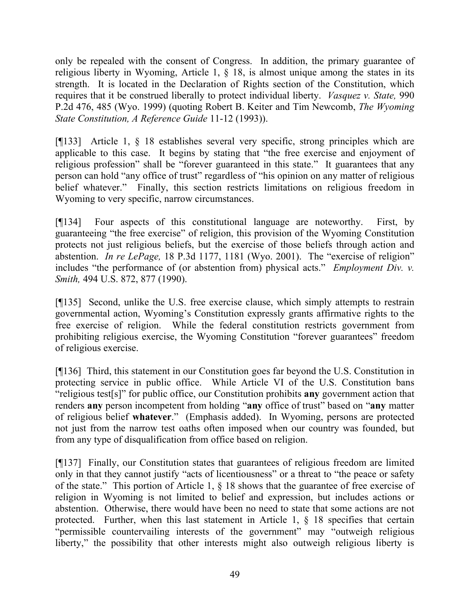only be repealed with the consent of Congress. In addition, the primary guarantee of religious liberty in Wyoming, Article 1, § 18, is almost unique among the states in its strength. It is located in the Declaration of Rights section of the Constitution, which requires that it be construed liberally to protect individual liberty. *Vasquez v. State,* 990 P.2d 476, 485 (Wyo. 1999) (quoting Robert B. Keiter and Tim Newcomb, *The Wyoming State Constitution, A Reference Guide* 11-12 (1993)).

[¶133] Article 1, § 18 establishes several very specific, strong principles which are applicable to this case. It begins by stating that "the free exercise and enjoyment of religious profession" shall be "forever guaranteed in this state." It guarantees that any person can hold "any office of trust" regardless of "his opinion on any matter of religious belief whatever." Finally, this section restricts limitations on religious freedom in Wyoming to very specific, narrow circumstances.

[¶134] Four aspects of this constitutional language are noteworthy. First, by guaranteeing "the free exercise" of religion, this provision of the Wyoming Constitution protects not just religious beliefs, but the exercise of those beliefs through action and abstention. *In re LePage,* 18 P.3d 1177, 1181 (Wyo. 2001). The "exercise of religion" includes "the performance of (or abstention from) physical acts." *Employment Div. v. Smith,* 494 U.S. 872, 877 (1990).

[¶135] Second, unlike the U.S. free exercise clause, which simply attempts to restrain governmental action, Wyoming's Constitution expressly grants affirmative rights to the free exercise of religion. While the federal constitution restricts government from prohibiting religious exercise, the Wyoming Constitution "forever guarantees" freedom of religious exercise.

[¶136] Third, this statement in our Constitution goes far beyond the U.S. Constitution in protecting service in public office. While Article VI of the U.S. Constitution bans "religious test[s]" for public office, our Constitution prohibits **any** government action that renders **any** person incompetent from holding "**any** office of trust" based on "**any** matter of religious belief **whatever**." (Emphasis added). In Wyoming, persons are protected not just from the narrow test oaths often imposed when our country was founded, but from any type of disqualification from office based on religion.

[¶137] Finally, our Constitution states that guarantees of religious freedom are limited only in that they cannot justify "acts of licentiousness" or a threat to "the peace or safety of the state." This portion of Article 1, § 18 shows that the guarantee of free exercise of religion in Wyoming is not limited to belief and expression, but includes actions or abstention. Otherwise, there would have been no need to state that some actions are not protected. Further, when this last statement in Article 1, § 18 specifies that certain "permissible countervailing interests of the government" may "outweigh religious liberty," the possibility that other interests might also outweigh religious liberty is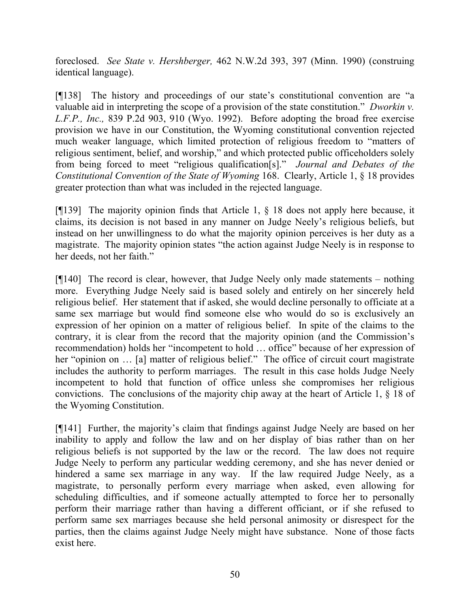foreclosed. *See State v. Hershberger,* 462 N.W.2d 393, 397 (Minn. 1990) (construing identical language).

[¶138] The history and proceedings of our state's constitutional convention are "a valuable aid in interpreting the scope of a provision of the state constitution." *Dworkin v. L.F.P., Inc.,* 839 P.2d 903, 910 (Wyo. 1992). Before adopting the broad free exercise provision we have in our Constitution, the Wyoming constitutional convention rejected much weaker language, which limited protection of religious freedom to "matters of religious sentiment, belief, and worship," and which protected public officeholders solely from being forced to meet "religious qualification[s]." *Journal and Debates of the Constitutional Convention of the State of Wyoming* 168. Clearly, Article 1, § 18 provides greater protection than what was included in the rejected language.

[¶139] The majority opinion finds that Article 1, § 18 does not apply here because, it claims, its decision is not based in any manner on Judge Neely's religious beliefs, but instead on her unwillingness to do what the majority opinion perceives is her duty as a magistrate. The majority opinion states "the action against Judge Neely is in response to her deeds, not her faith."

 $[9140]$  The record is clear, however, that Judge Neely only made statements – nothing more. Everything Judge Neely said is based solely and entirely on her sincerely held religious belief. Her statement that if asked, she would decline personally to officiate at a same sex marriage but would find someone else who would do so is exclusively an expression of her opinion on a matter of religious belief. In spite of the claims to the contrary, it is clear from the record that the majority opinion (and the Commission's recommendation) holds her "incompetent to hold … office" because of her expression of her "opinion on … [a] matter of religious belief." The office of circuit court magistrate includes the authority to perform marriages. The result in this case holds Judge Neely incompetent to hold that function of office unless she compromises her religious convictions. The conclusions of the majority chip away at the heart of Article 1, § 18 of the Wyoming Constitution.

[¶141] Further, the majority's claim that findings against Judge Neely are based on her inability to apply and follow the law and on her display of bias rather than on her religious beliefs is not supported by the law or the record. The law does not require Judge Neely to perform any particular wedding ceremony, and she has never denied or hindered a same sex marriage in any way. If the law required Judge Neely, as a magistrate, to personally perform every marriage when asked, even allowing for scheduling difficulties, and if someone actually attempted to force her to personally perform their marriage rather than having a different officiant, or if she refused to perform same sex marriages because she held personal animosity or disrespect for the parties, then the claims against Judge Neely might have substance. None of those facts exist here.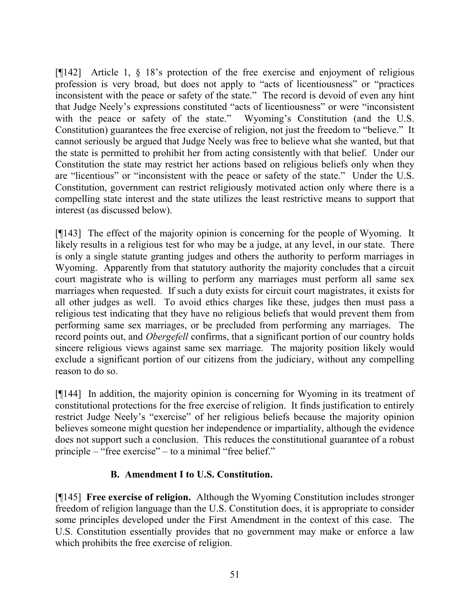[¶142] Article 1, § 18's protection of the free exercise and enjoyment of religious profession is very broad, but does not apply to "acts of licentiousness" or "practices inconsistent with the peace or safety of the state." The record is devoid of even any hint that Judge Neely's expressions constituted "acts of licentiousness" or were "inconsistent with the peace or safety of the state." Wyoming's Constitution (and the U.S. Constitution) guarantees the free exercise of religion, not just the freedom to "believe." It cannot seriously be argued that Judge Neely was free to believe what she wanted, but that the state is permitted to prohibit her from acting consistently with that belief. Under our Constitution the state may restrict her actions based on religious beliefs only when they are "licentious" or "inconsistent with the peace or safety of the state." Under the U.S. Constitution, government can restrict religiously motivated action only where there is a compelling state interest and the state utilizes the least restrictive means to support that interest (as discussed below).

[¶143] The effect of the majority opinion is concerning for the people of Wyoming. It likely results in a religious test for who may be a judge, at any level, in our state. There is only a single statute granting judges and others the authority to perform marriages in Wyoming. Apparently from that statutory authority the majority concludes that a circuit court magistrate who is willing to perform any marriages must perform all same sex marriages when requested. If such a duty exists for circuit court magistrates, it exists for all other judges as well. To avoid ethics charges like these, judges then must pass a religious test indicating that they have no religious beliefs that would prevent them from performing same sex marriages, or be precluded from performing any marriages. The record points out, and *Obergefell* confirms, that a significant portion of our country holds sincere religious views against same sex marriage. The majority position likely would exclude a significant portion of our citizens from the judiciary, without any compelling reason to do so.

[¶144] In addition, the majority opinion is concerning for Wyoming in its treatment of constitutional protections for the free exercise of religion. It finds justification to entirely restrict Judge Neely's "exercise" of her religious beliefs because the majority opinion believes someone might question her independence or impartiality, although the evidence does not support such a conclusion. This reduces the constitutional guarantee of a robust principle – "free exercise" – to a minimal "free belief."

## **B. Amendment I to U.S. Constitution.**

[¶145] **Free exercise of religion.** Although the Wyoming Constitution includes stronger freedom of religion language than the U.S. Constitution does, it is appropriate to consider some principles developed under the First Amendment in the context of this case. The U.S. Constitution essentially provides that no government may make or enforce a law which prohibits the free exercise of religion.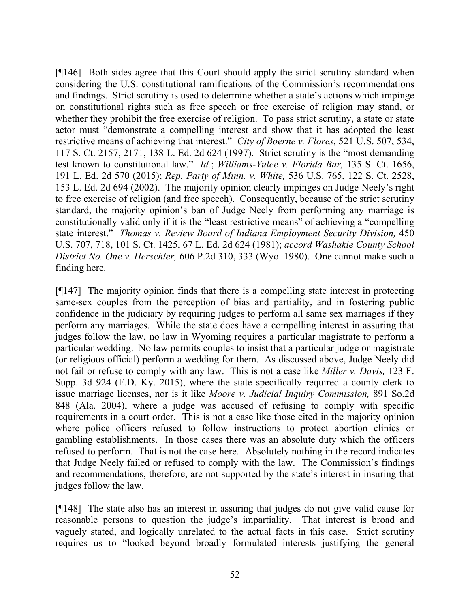[¶146] Both sides agree that this Court should apply the strict scrutiny standard when considering the U.S. constitutional ramifications of the Commission's recommendations and findings. Strict scrutiny is used to determine whether a state's actions which impinge on constitutional rights such as free speech or free exercise of religion may stand, or whether they prohibit the free exercise of religion. To pass strict scrutiny, a state or state actor must "demonstrate a compelling interest and show that it has adopted the least restrictive means of achieving that interest." *City of Boerne v. Flores*, 521 U.S. 507, 534, 117 S. Ct. 2157, 2171, 138 L. Ed. 2d 624 (1997). Strict scrutiny is the "most demanding test known to constitutional law." *Id.*; *Williams-Yulee v. Florida Bar,* 135 S. Ct. 1656, 191 L. Ed. 2d 570 (2015); *Rep. Party of Minn. v. White,* 536 U.S. 765, 122 S. Ct. 2528, 153 L. Ed. 2d 694 (2002). The majority opinion clearly impinges on Judge Neely's right to free exercise of religion (and free speech). Consequently, because of the strict scrutiny standard, the majority opinion's ban of Judge Neely from performing any marriage is constitutionally valid only if it is the "least restrictive means" of achieving a "compelling state interest." *Thomas v. Review Board of Indiana Employment Security Division,* 450 U.S. 707, 718, 101 S. Ct. 1425, 67 L. Ed. 2d 624 (1981); *accord Washakie County School District No. One v. Herschler,* 606 P.2d 310, 333 (Wyo. 1980). One cannot make such a finding here.

[¶147] The majority opinion finds that there is a compelling state interest in protecting same-sex couples from the perception of bias and partiality, and in fostering public confidence in the judiciary by requiring judges to perform all same sex marriages if they perform any marriages. While the state does have a compelling interest in assuring that judges follow the law, no law in Wyoming requires a particular magistrate to perform a particular wedding. No law permits couples to insist that a particular judge or magistrate (or religious official) perform a wedding for them. As discussed above, Judge Neely did not fail or refuse to comply with any law. This is not a case like *Miller v. Davis,* 123 F. Supp. 3d 924 (E.D. Ky. 2015), where the state specifically required a county clerk to issue marriage licenses, nor is it like *Moore v. Judicial Inquiry Commission,* 891 So.2d 848 (Ala. 2004), where a judge was accused of refusing to comply with specific requirements in a court order. This is not a case like those cited in the majority opinion where police officers refused to follow instructions to protect abortion clinics or gambling establishments. In those cases there was an absolute duty which the officers refused to perform. That is not the case here. Absolutely nothing in the record indicates that Judge Neely failed or refused to comply with the law. The Commission's findings and recommendations, therefore, are not supported by the state's interest in insuring that judges follow the law.

[¶148] The state also has an interest in assuring that judges do not give valid cause for reasonable persons to question the judge's impartiality. That interest is broad and vaguely stated, and logically unrelated to the actual facts in this case. Strict scrutiny requires us to "looked beyond broadly formulated interests justifying the general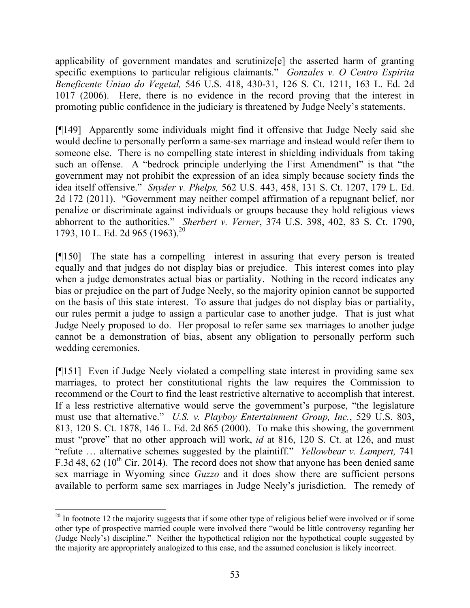applicability of government mandates and scrutinize[e] the asserted harm of granting specific exemptions to particular religious claimants." *Gonzales v. O Centro Espirita Beneficente Uniao do Vegetal,* 546 U.S. 418, 430-31, 126 S. Ct. 1211, 163 L. Ed. 2d 1017 (2006). Here, there is no evidence in the record proving that the interest in promoting public confidence in the judiciary is threatened by Judge Neely's statements.

[¶149] Apparently some individuals might find it offensive that Judge Neely said she would decline to personally perform a same-sex marriage and instead would refer them to someone else. There is no compelling state interest in shielding individuals from taking such an offense. A "bedrock principle underlying the First Amendment" is that "the government may not prohibit the expression of an idea simply because society finds the idea itself offensive." *Snyder v. Phelps,* 562 U.S. 443, 458, 131 S. Ct. 1207, 179 L. Ed. 2d 172 (2011). "Government may neither compel affirmation of a repugnant belief, nor penalize or discriminate against individuals or groups because they hold religious views abhorrent to the authorities." *Sherbert v. Verner*, 374 U.S. 398, 402, 83 S. Ct. 1790, 1793, 10 L. Ed. 2d 965 (1963).<sup>20</sup>

[¶150] The state has a compelling interest in assuring that every person is treated equally and that judges do not display bias or prejudice. This interest comes into play when a judge demonstrates actual bias or partiality. Nothing in the record indicates any bias or prejudice on the part of Judge Neely, so the majority opinion cannot be supported on the basis of this state interest. To assure that judges do not display bias or partiality, our rules permit a judge to assign a particular case to another judge. That is just what Judge Neely proposed to do. Her proposal to refer same sex marriages to another judge cannot be a demonstration of bias, absent any obligation to personally perform such wedding ceremonies.

[¶151] Even if Judge Neely violated a compelling state interest in providing same sex marriages, to protect her constitutional rights the law requires the Commission to recommend or the Court to find the least restrictive alternative to accomplish that interest. If a less restrictive alternative would serve the government's purpose, "the legislature must use that alternative." *U.S. v. Playboy Entertainment Group, Inc.*, 529 U.S. 803, 813, 120 S. Ct. 1878, 146 L. Ed. 2d 865 (2000). To make this showing, the government must "prove" that no other approach will work, *id* at 816, 120 S. Ct. at 126, and must "refute … alternative schemes suggested by the plaintiff." *Yellowbear v. Lampert,* 741 F.3d 48, 62 ( $10^{th}$  Cir. 2014). The record does not show that anyone has been denied same sex marriage in Wyoming since *Guzzo* and it does show there are sufficient persons available to perform same sex marriages in Judge Neely's jurisdiction. The remedy of

 $20$  In footnote 12 the majority suggests that if some other type of religious belief were involved or if some other type of prospective married couple were involved there "would be little controversy regarding her (Judge Neely's) discipline." Neither the hypothetical religion nor the hypothetical couple suggested by the majority are appropriately analogized to this case, and the assumed conclusion is likely incorrect.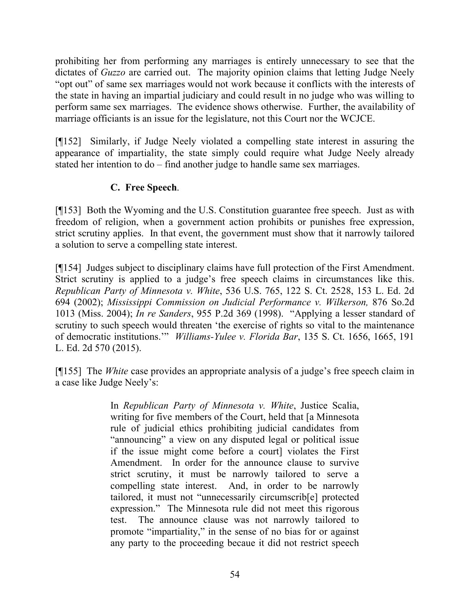prohibiting her from performing any marriages is entirely unnecessary to see that the dictates of *Guzzo* are carried out. The majority opinion claims that letting Judge Neely "opt out" of same sex marriages would not work because it conflicts with the interests of the state in having an impartial judiciary and could result in no judge who was willing to perform same sex marriages. The evidence shows otherwise. Further, the availability of marriage officiants is an issue for the legislature, not this Court nor the WCJCE.

[¶152] Similarly, if Judge Neely violated a compelling state interest in assuring the appearance of impartiality, the state simply could require what Judge Neely already stated her intention to do – find another judge to handle same sex marriages.

## **C. Free Speech**.

[¶153] Both the Wyoming and the U.S. Constitution guarantee free speech. Just as with freedom of religion, when a government action prohibits or punishes free expression, strict scrutiny applies. In that event, the government must show that it narrowly tailored a solution to serve a compelling state interest.

[¶154] Judges subject to disciplinary claims have full protection of the First Amendment. Strict scrutiny is applied to a judge's free speech claims in circumstances like this. *Republican Party of Minnesota v. White*, 536 U.S. 765, 122 S. Ct. 2528, 153 L. Ed. 2d 694 (2002); *Mississippi Commission on Judicial Performance v. Wilkerson,* 876 So.2d 1013 (Miss. 2004); *In re Sanders*, 955 P.2d 369 (1998). "Applying a lesser standard of scrutiny to such speech would threaten 'the exercise of rights so vital to the maintenance of democratic institutions.'" *Williams-Yulee v. Florida Bar*, 135 S. Ct. 1656, 1665, 191 L. Ed. 2d 570 (2015).

[¶155] The *White* case provides an appropriate analysis of a judge's free speech claim in a case like Judge Neely's:

> In *Republican Party of Minnesota v. White*, Justice Scalia, writing for five members of the Court, held that [a Minnesota rule of judicial ethics prohibiting judicial candidates from "announcing" a view on any disputed legal or political issue if the issue might come before a court] violates the First Amendment. In order for the announce clause to survive strict scrutiny, it must be narrowly tailored to serve a compelling state interest. And, in order to be narrowly tailored, it must not "unnecessarily circumscrib[e] protected expression." The Minnesota rule did not meet this rigorous test. The announce clause was not narrowly tailored to promote "impartiality," in the sense of no bias for or against any party to the proceeding becaue it did not restrict speech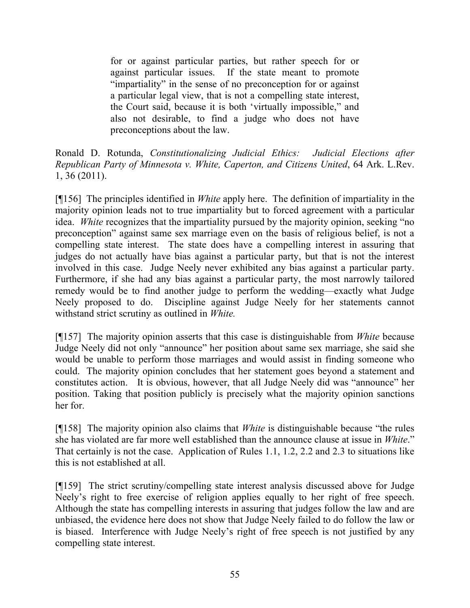for or against particular parties, but rather speech for or against particular issues. If the state meant to promote "impartiality" in the sense of no preconception for or against a particular legal view, that is not a compelling state interest, the Court said, because it is both 'virtually impossible," and also not desirable, to find a judge who does not have preconceptions about the law.

Ronald D. Rotunda, *Constitutionalizing Judicial Ethics: Judicial Elections after Republican Party of Minnesota v. White, Caperton, and Citizens United*, 64 Ark. L.Rev. 1, 36 (2011).

[¶156] The principles identified in *White* apply here. The definition of impartiality in the majority opinion leads not to true impartiality but to forced agreement with a particular idea. *White* recognizes that the impartiality pursued by the majority opinion, seeking "no preconception" against same sex marriage even on the basis of religious belief, is not a compelling state interest. The state does have a compelling interest in assuring that judges do not actually have bias against a particular party, but that is not the interest involved in this case. Judge Neely never exhibited any bias against a particular party. Furthermore, if she had any bias against a particular party, the most narrowly tailored remedy would be to find another judge to perform the wedding—exactly what Judge Neely proposed to do. Discipline against Judge Neely for her statements cannot withstand strict scrutiny as outlined in *White.*

[¶157] The majority opinion asserts that this case is distinguishable from *White* because Judge Neely did not only "announce" her position about same sex marriage, she said she would be unable to perform those marriages and would assist in finding someone who could. The majority opinion concludes that her statement goes beyond a statement and constitutes action. It is obvious, however, that all Judge Neely did was "announce" her position. Taking that position publicly is precisely what the majority opinion sanctions her for.

[¶158] The majority opinion also claims that *White* is distinguishable because "the rules she has violated are far more well established than the announce clause at issue in *White*." That certainly is not the case. Application of Rules 1.1, 1.2, 2.2 and 2.3 to situations like this is not established at all.

[¶159] The strict scrutiny/compelling state interest analysis discussed above for Judge Neely's right to free exercise of religion applies equally to her right of free speech. Although the state has compelling interests in assuring that judges follow the law and are unbiased, the evidence here does not show that Judge Neely failed to do follow the law or is biased. Interference with Judge Neely's right of free speech is not justified by any compelling state interest.